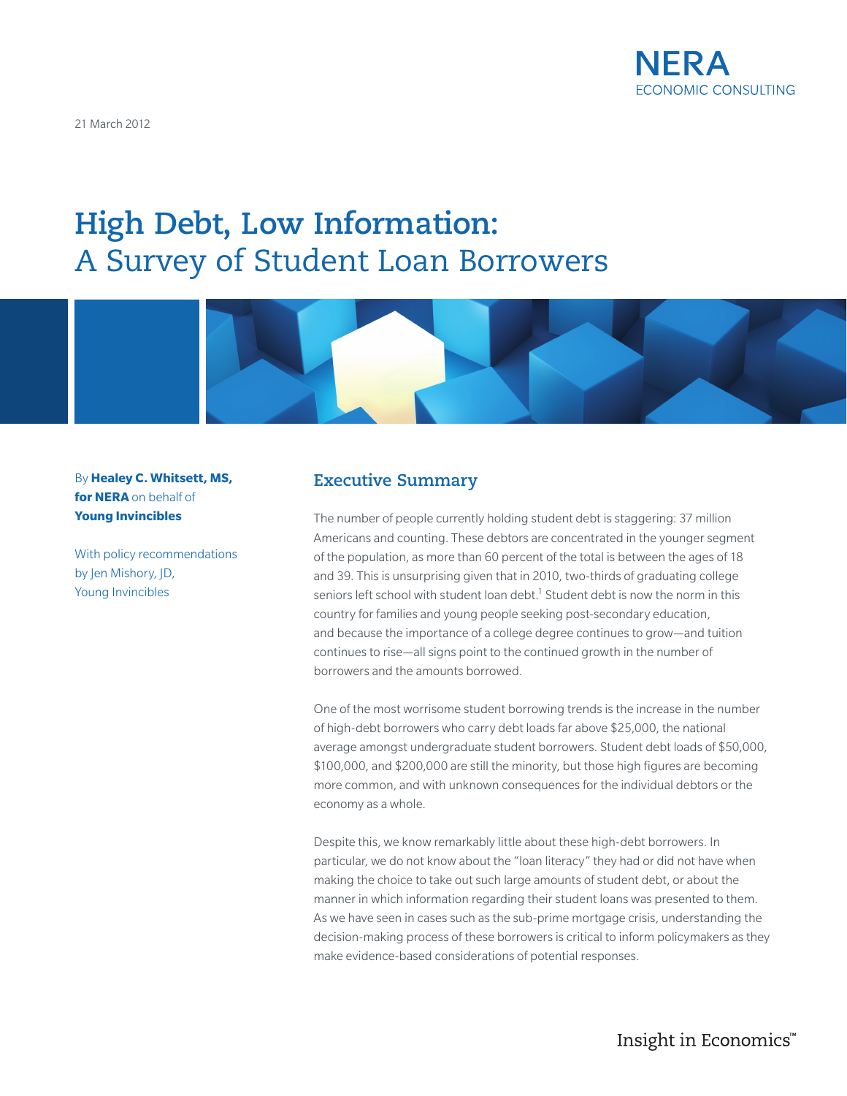

21 March 2012

# **High Debt, Low Information:**  A Survey of Student Loan Borrowers



By **Healey C. Whitsett, MS, for NERA** on behalf of **Young Invincibles**

With policy recommendations by Jen Mishory, JD, Young Invincibles

### **Executive Summary**

The number of people currently holding student debt is staggering: 37 million Americans and counting. These debtors are concentrated in the younger segment of the population, as more than 60 percent of the total is between the ages of 18 and 39. This is unsurprising given that in 2010, two-thirds of graduating college seniors left school with student loan debt.<sup>1</sup> Student debt is now the norm in this country for families and young people seeking post-secondary education, and because the importance of a college degree continues to grow—and tuition continues to rise—all signs point to the continued growth in the number of borrowers and the amounts borrowed.

One of the most worrisome student borrowing trends is the increase in the number of high-debt borrowers who carry debt loads far above \$25,000, the national average amongst undergraduate student borrowers. Student debt loads of \$50,000, \$100,000, and \$200,000 are still the minority, but those high figures are becoming more common, and with unknown consequences for the individual debtors or the economy as a whole.

Despite this, we know remarkably little about these high-debt borrowers. In particular, we do not know about the "loan literacy" they had or did not have when making the choice to take out such large amounts of student debt, or about the manner in which information regarding their student loans was presented to them. As we have seen in cases such as the sub-prime mortgage crisis, understanding the decision-making process of these borrowers is critical to inform policymakers as they make evidence-based considerations of potential responses.

Insight in Economics™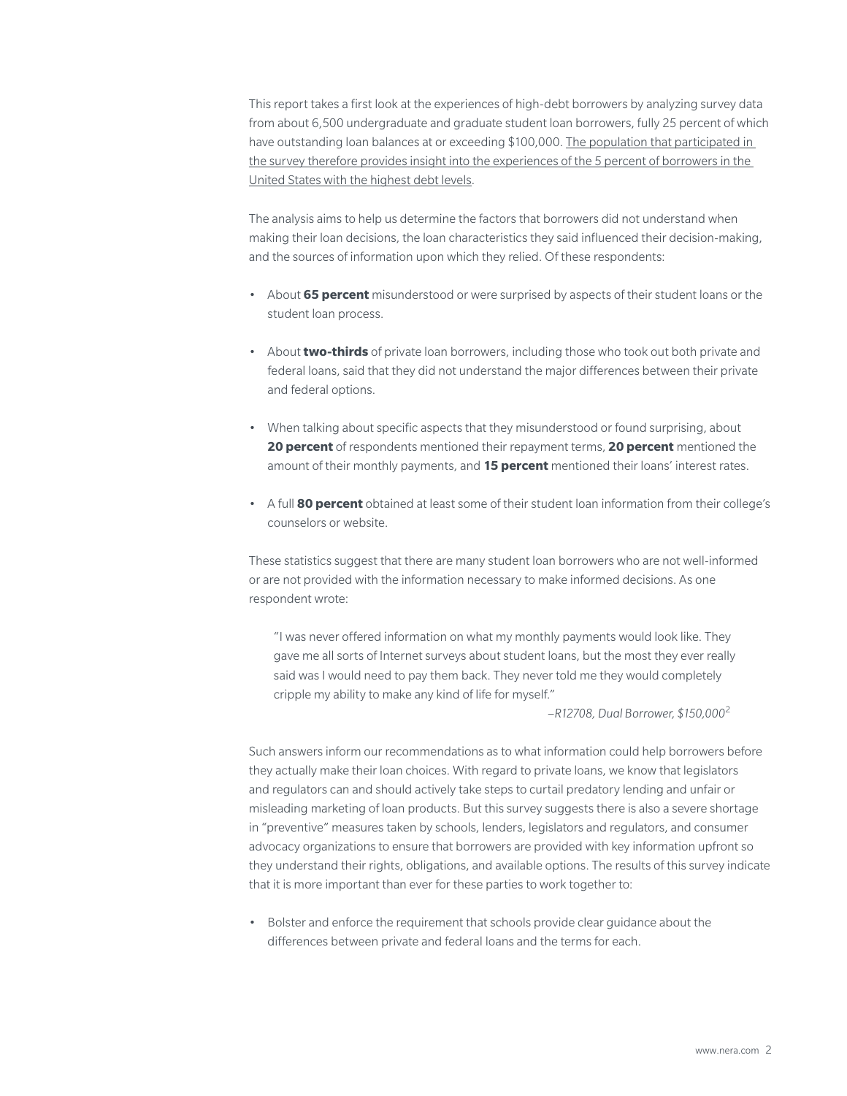This report takes a first look at the experiences of high-debt borrowers by analyzing survey data from about 6,500 undergraduate and graduate student loan borrowers, fully 25 percent of which have outstanding loan balances at or exceeding \$100,000. The population that participated in the survey therefore provides insight into the experiences of the 5 percent of borrowers in the United States with the highest debt levels.

The analysis aims to help us determine the factors that borrowers did not understand when making their loan decisions, the loan characteristics they said influenced their decision-making, and the sources of information upon which they relied. Of these respondents:

- About **65 percent** misunderstood or were surprised by aspects of their student loans or the student loan process.
- About **two-thirds** of private loan borrowers, including those who took out both private and federal loans, said that they did not understand the major differences between their private and federal options.
- When talking about specific aspects that they misunderstood or found surprising, about **20 percent** of respondents mentioned their repayment terms, **20 percent** mentioned the amount of their monthly payments, and **15 percent** mentioned their loans' interest rates.
- A full **80 percent** obtained at least some of their student loan information from their college's counselors or website.

These statistics suggest that there are many student loan borrowers who are not well-informed or are not provided with the information necessary to make informed decisions. As one respondent wrote:

"I was never offered information on what my monthly payments would look like. They gave me all sorts of Internet surveys about student loans, but the most they ever really said was I would need to pay them back. They never told me they would completely cripple my ability to make any kind of life for myself."

–*R12708, Dual Borrower, \$150,000*<sup>2</sup>

Such answers inform our recommendations as to what information could help borrowers before they actually make their loan choices. With regard to private loans, we know that legislators and regulators can and should actively take steps to curtail predatory lending and unfair or misleading marketing of loan products. But this survey suggests there is also a severe shortage in "preventive" measures taken by schools, lenders, legislators and regulators, and consumer advocacy organizations to ensure that borrowers are provided with key information upfront so they understand their rights, obligations, and available options. The results of this survey indicate that it is more important than ever for these parties to work together to:

• Bolster and enforce the requirement that schools provide clear guidance about the differences between private and federal loans and the terms for each.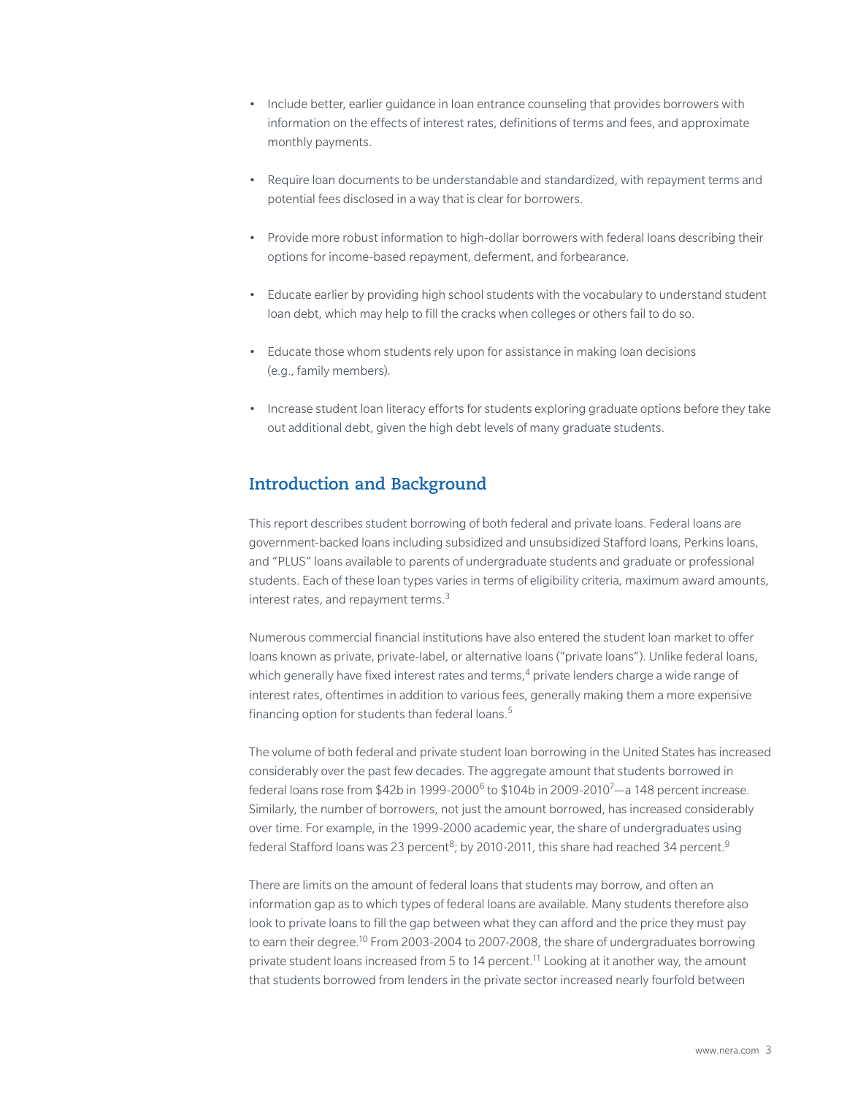- Include better, earlier guidance in loan entrance counseling that provides borrowers with information on the effects of interest rates, definitions of terms and fees, and approximate monthly payments.
- Require loan documents to be understandable and standardized, with repayment terms and potential fees disclosed in a way that is clear for borrowers.
- Provide more robust information to high-dollar borrowers with federal loans describing their options for income-based repayment, deferment, and forbearance.
- Educate earlier by providing high school students with the vocabulary to understand student loan debt, which may help to fill the cracks when colleges or others fail to do so.
- Educate those whom students rely upon for assistance in making loan decisions (e.g., family members).
- Increase student loan literacy efforts for students exploring graduate options before they take out additional debt, given the high debt levels of many graduate students.

# **Introduction and Background**

This report describes student borrowing of both federal and private loans. Federal loans are government-backed loans including subsidized and unsubsidized Stafford loans, Perkins loans, and "PLUS" loans available to parents of undergraduate students and graduate or professional students. Each of these loan types varies in terms of eligibility criteria, maximum award amounts, interest rates, and repayment terms.<sup>3</sup>

Numerous commercial financial institutions have also entered the student loan market to offer loans known as private, private-label, or alternative loans ("private loans"). Unlike federal loans, which generally have fixed interest rates and terms,<sup>4</sup> private lenders charge a wide range of interest rates, oftentimes in addition to various fees, generally making them a more expensive financing option for students than federal loans. $5$ 

The volume of both federal and private student loan borrowing in the United States has increased considerably over the past few decades. The aggregate amount that students borrowed in federal loans rose from  $$42b$  in 1999-2000<sup>6</sup> to  $$104b$  in 2009-2010<sup>7</sup>—a 148 percent increase. Similarly, the number of borrowers, not just the amount borrowed, has increased considerably over time. For example, in the 1999-2000 academic year, the share of undergraduates using federal Stafford loans was 23 percent<sup>8</sup>; by 2010-2011, this share had reached 34 percent.<sup>9</sup>

There are limits on the amount of federal loans that students may borrow, and often an information gap as to which types of federal loans are available. Many students therefore also look to private loans to fill the gap between what they can afford and the price they must pay to earn their degree.<sup>10</sup> From 2003-2004 to 2007-2008, the share of undergraduates borrowing private student loans increased from 5 to 14 percent.11 Looking at it another way, the amount that students borrowed from lenders in the private sector increased nearly fourfold between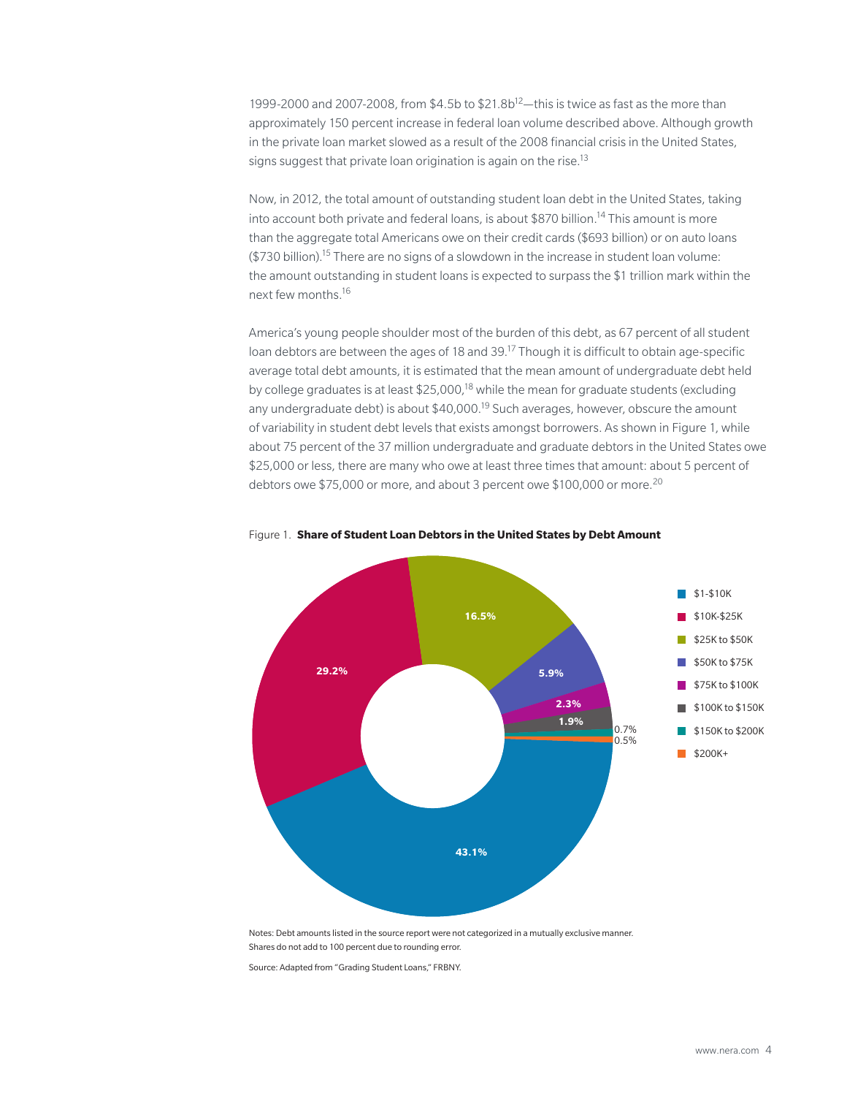1999-2000 and 2007-2008, from  $$4.5b$  to  $$21.8b^{12}$  this is twice as fast as the more than approximately 150 percent increase in federal loan volume described above. Although growth in the private loan market slowed as a result of the 2008 financial crisis in the United States, signs suggest that private loan origination is again on the rise.<sup>13</sup>

Now, in 2012, the total amount of outstanding student loan debt in the United States, taking into account both private and federal loans, is about \$870 billion.<sup>14</sup> This amount is more than the aggregate total Americans owe on their credit cards (\$693 billion) or on auto loans  $$730$  billion).<sup>15</sup> There are no signs of a slowdown in the increase in student loan volume: the amount outstanding in student loans is expected to surpass the \$1 trillion mark within the next few months.16

America's young people shoulder most of the burden of this debt, as 67 percent of all student loan debtors are between the ages of 18 and 39.<sup>17</sup> Though it is difficult to obtain age-specific average total debt amounts, it is estimated that the mean amount of undergraduate debt held by college graduates is at least \$25,000,<sup>18</sup> while the mean for graduate students (excluding any undergraduate debt) is about  $$40,000$ .<sup>19</sup> Such averages, however, obscure the amount of variability in student debt levels that exists amongst borrowers. As shown in Figure 1, while about 75 percent of the 37 million undergraduate and graduate debtors in the United States owe \$25,000 or less, there are many who owe at least three times that amount: about 5 percent of debtors owe \$75,000 or more, and about 3 percent owe \$100,000 or more.<sup>20</sup>



#### Figure 1. **Share of Student Loan Debtors in the United States by Debt Amount**

Notes: Debt amounts listed in the source report were not categorized in a mutually exclusive manner. Shares do not add to 100 percent due to rounding error.

Source: Adapted from "Grading Student Loans," FRBNY.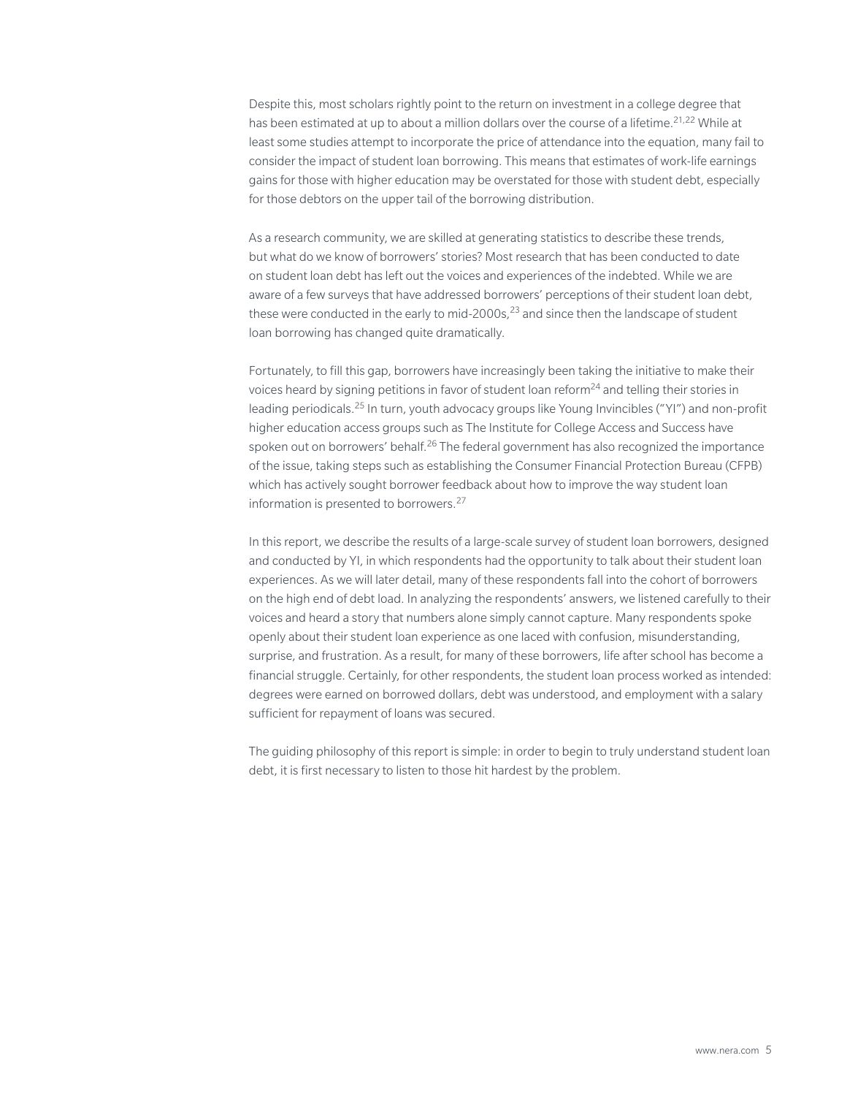Despite this, most scholars rightly point to the return on investment in a college degree that has been estimated at up to about a million dollars over the course of a lifetime.<sup>21,22</sup> While at least some studies attempt to incorporate the price of attendance into the equation, many fail to consider the impact of student loan borrowing. This means that estimates of work-life earnings gains for those with higher education may be overstated for those with student debt, especially for those debtors on the upper tail of the borrowing distribution.

As a research community, we are skilled at generating statistics to describe these trends, but what do we know of borrowers' stories? Most research that has been conducted to date on student loan debt has left out the voices and experiences of the indebted. While we are aware of a few surveys that have addressed borrowers' perceptions of their student loan debt, these were conducted in the early to mid-2000s, $^{23}$  and since then the landscape of student loan borrowing has changed quite dramatically.

Fortunately, to fill this gap, borrowers have increasingly been taking the initiative to make their voices heard by signing petitions in favor of student loan reform<sup>24</sup> and telling their stories in leading periodicals.25 In turn, youth advocacy groups like Young Invincibles ("YI") and non-profit higher education access groups such as The Institute for College Access and Success have spoken out on borrowers' behalf.<sup>26</sup> The federal government has also recognized the importance of the issue, taking steps such as establishing the Consumer Financial Protection Bureau (CFPB) which has actively sought borrower feedback about how to improve the way student loan information is presented to borrowers.<sup>27</sup>

In this report, we describe the results of a large-scale survey of student loan borrowers, designed and conducted by YI, in which respondents had the opportunity to talk about their student loan experiences. As we will later detail, many of these respondents fall into the cohort of borrowers on the high end of debt load. In analyzing the respondents' answers, we listened carefully to their voices and heard a story that numbers alone simply cannot capture. Many respondents spoke openly about their student loan experience as one laced with confusion, misunderstanding, surprise, and frustration. As a result, for many of these borrowers, life after school has become a financial struggle. Certainly, for other respondents, the student loan process worked as intended: degrees were earned on borrowed dollars, debt was understood, and employment with a salary sufficient for repayment of loans was secured.

The guiding philosophy of this report is simple: in order to begin to truly understand student loan debt, it is first necessary to listen to those hit hardest by the problem.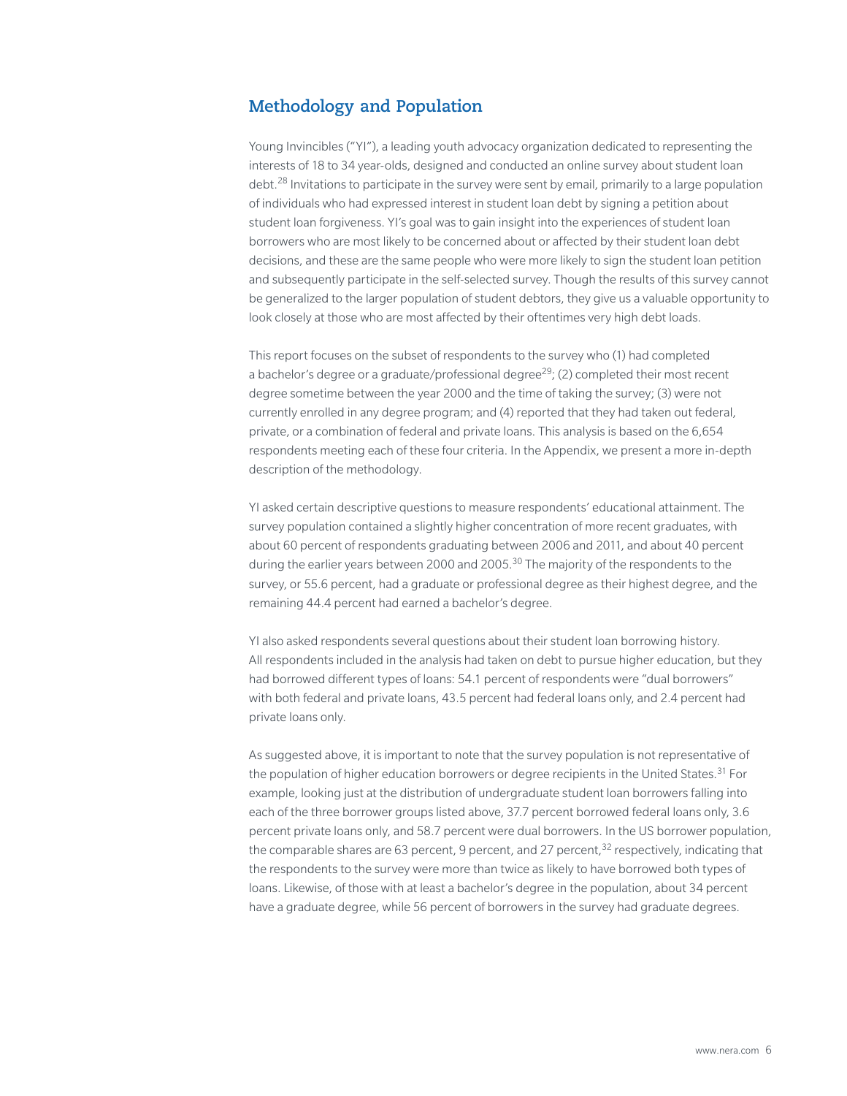# **Methodology and Population**

Young Invincibles ("YI"), a leading youth advocacy organization dedicated to representing the interests of 18 to 34 year-olds, designed and conducted an online survey about student loan debt.<sup>28</sup> Invitations to participate in the survey were sent by email, primarily to a large population of individuals who had expressed interest in student loan debt by signing a petition about student loan forgiveness. YI's goal was to gain insight into the experiences of student loan borrowers who are most likely to be concerned about or affected by their student loan debt decisions, and these are the same people who were more likely to sign the student loan petition and subsequently participate in the self-selected survey. Though the results of this survey cannot be generalized to the larger population of student debtors, they give us a valuable opportunity to look closely at those who are most affected by their oftentimes very high debt loads.

This report focuses on the subset of respondents to the survey who (1) had completed a bachelor's degree or a graduate/professional degree<sup>29</sup>; (2) completed their most recent degree sometime between the year 2000 and the time of taking the survey; (3) were not currently enrolled in any degree program; and (4) reported that they had taken out federal, private, or a combination of federal and private loans. This analysis is based on the 6,654 respondents meeting each of these four criteria. In the Appendix, we present a more in-depth description of the methodology.

YI asked certain descriptive questions to measure respondents' educational attainment. The survey population contained a slightly higher concentration of more recent graduates, with about 60 percent of respondents graduating between 2006 and 2011, and about 40 percent during the earlier years between 2000 and 2005.<sup>30</sup> The majority of the respondents to the survey, or 55.6 percent, had a graduate or professional degree as their highest degree, and the remaining 44.4 percent had earned a bachelor's degree.

YI also asked respondents several questions about their student loan borrowing history. All respondents included in the analysis had taken on debt to pursue higher education, but they had borrowed different types of loans: 54.1 percent of respondents were "dual borrowers" with both federal and private loans, 43.5 percent had federal loans only, and 2.4 percent had private loans only.

As suggested above, it is important to note that the survey population is not representative of the population of higher education borrowers or degree recipients in the United States.<sup>31</sup> For example, looking just at the distribution of undergraduate student loan borrowers falling into each of the three borrower groups listed above, 37.7 percent borrowed federal loans only, 3.6 percent private loans only, and 58.7 percent were dual borrowers. In the US borrower population, the comparable shares are 63 percent, 9 percent, and 27 percent,<sup>32</sup> respectively, indicating that the respondents to the survey were more than twice as likely to have borrowed both types of loans. Likewise, of those with at least a bachelor's degree in the population, about 34 percent have a graduate degree, while 56 percent of borrowers in the survey had graduate degrees.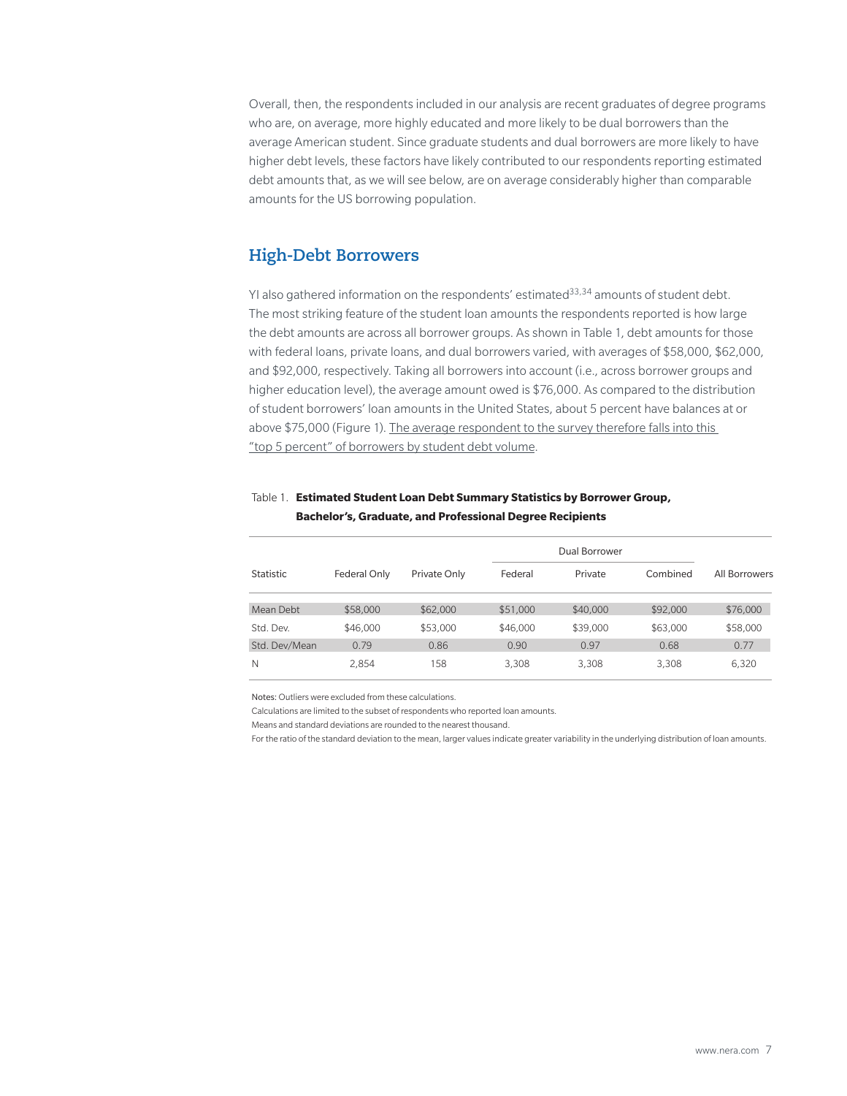Overall, then, the respondents included in our analysis are recent graduates of degree programs who are, on average, more highly educated and more likely to be dual borrowers than the average American student. Since graduate students and dual borrowers are more likely to have higher debt levels, these factors have likely contributed to our respondents reporting estimated debt amounts that, as we will see below, are on average considerably higher than comparable amounts for the US borrowing population.

### **High-Debt Borrowers**

YI also gathered information on the respondents' estimated $^{33,34}$  amounts of student debt. The most striking feature of the student loan amounts the respondents reported is how large the debt amounts are across all borrower groups. As shown in Table 1, debt amounts for those with federal loans, private loans, and dual borrowers varied, with averages of \$58,000, \$62,000, and \$92,000, respectively. Taking all borrowers into account (i.e., across borrower groups and higher education level), the average amount owed is \$76,000. As compared to the distribution of student borrowers' loan amounts in the United States, about 5 percent have balances at or above \$75,000 (Figure 1). The average respondent to the survey therefore falls into this "top 5 percent" of borrowers by student debt volume.

|               |              |              |          | Dual Borrower |          |               |
|---------------|--------------|--------------|----------|---------------|----------|---------------|
| Statistic     | Federal Only | Private Only | Federal  | Private       | Combined | All Borrowers |
| Mean Debt     | \$58,000     | \$62,000     | \$51,000 | \$40,000      | \$92,000 | \$76,000      |
| Std. Dev.     | \$46,000     | \$53,000     | \$46,000 | \$39,000      | \$63,000 | \$58,000      |
| Std. Dev/Mean | 0.79         | 0.86         | 0.90     | 0.97          | 0.68     | 0.77          |
| N             | 2.854        | 158          | 3.308    | 3.308         | 3,308    | 6,320         |

#### Table 1. **Estimated Student Loan Debt Summary Statistics by Borrower Group, Bachelor's, Graduate, and Professional Degree Recipients**

Notes: Outliers were excluded from these calculations.

Calculations are limited to the subset of respondents who reported loan amounts.

Means and standard deviations are rounded to the nearest thousand.

For the ratio of the standard deviation to the mean, larger values indicate greater variability in the underlying distribution of loan amounts.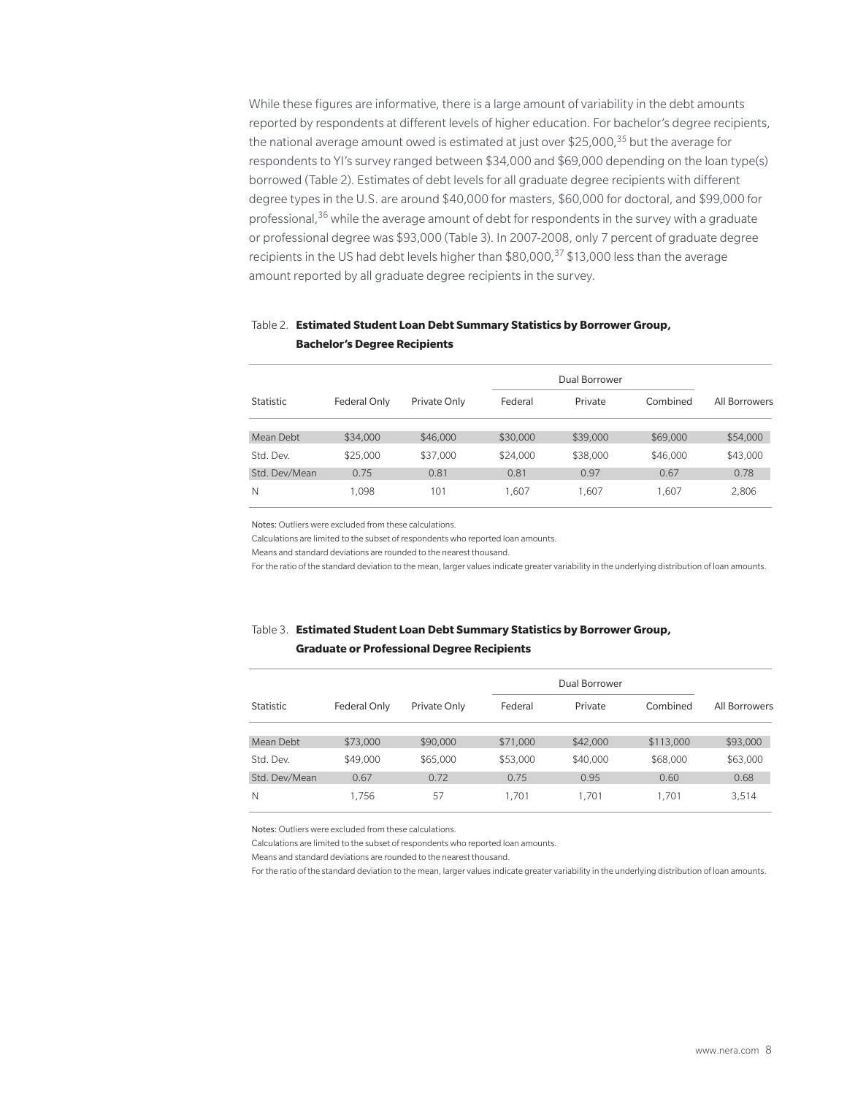While these figures are informative, there is a large amount of variability in the debt amounts reported by respondents at different levels of higher education. For bachelor's degree recipients, the national average amount owed is estimated at just over \$25,000, $35$  but the average for respondents to YI's survey ranged between \$34,000 and \$69,000 depending on the loan type(s) borrowed (Table 2). Estimates of debt levels for all graduate degree recipients with different degree types in the U.S. are around \$40,000 for masters, \$60,000 for doctoral, and \$99,000 for professional,<sup>36</sup> while the average amount of debt for respondents in the survey with a graduate or professional degree was \$93,000 (Table 3). In 2007-2008, only 7 percent of graduate degree recipients in the US had debt levels higher than \$80,000,<sup>37</sup> \$13,000 less than the average amount reported by all graduate degree recipients in the survey.

### Table 2. **Estimated Student Loan Debt Summary Statistics by Borrower Group, Bachelor's Degree Recipients**

|                  |              |              |          | Dual Borrower |          |               |
|------------------|--------------|--------------|----------|---------------|----------|---------------|
| <b>Statistic</b> | Federal Only | Private Only | Federal  | Private       | Combined | All Borrowers |
| Mean Debt        | \$34,000     | \$46,000     | \$30,000 | \$39,000      | \$69,000 | \$54,000      |
| Std. Dev.        | \$25,000     | \$37,000     | \$24,000 | \$38,000      | \$46,000 | \$43,000      |
| Std. Dev/Mean    | 0.75         | 0.81         | 0.81     | 0.97          | 0.67     | 0.78          |
| N                | 1.098        | 101          | 1.607    | 1.607         | 1.607    | 2,806         |

Notes: Outliers were excluded from these calculations.

Calculations are limited to the subset of respondents who reported loan amounts.

Means and standard deviations are rounded to the nearest thousand.

For the ratio of the standard deviation to the mean, larger values indicate greater variability in the underlying distribution of loan amounts.

#### Table 3. **Estimated Student Loan Debt Summary Statistics by Borrower Group, Graduate or Professional Degree Recipients**

|               |              | Private Only |          | Dual Borrower |           |               |
|---------------|--------------|--------------|----------|---------------|-----------|---------------|
| Statistic     | Federal Only |              | Federal  | Private       | Combined  | All Borrowers |
| Mean Debt     | \$73,000     | \$90,000     | \$71,000 | \$42,000      | \$113,000 | \$93,000      |
| Std. Dev.     | \$49,000     | \$65,000     | \$53,000 | \$40,000      | \$68,000  | \$63,000      |
| Std. Dev/Mean | 0.67         | 0.72         | 0.75     | 0.95          | 0.60      | 0.68          |
| N             | 1.756        | 57           | 1.701    | 1.701         | 1.701     | 3,514         |

Notes: Outliers were excluded from these calculations.

Calculations are limited to the subset of respondents who reported loan amounts.

Means and standard deviations are rounded to the nearest thousand.

For the ratio of the standard deviation to the mean, larger values indicate greater variability in the underlying distribution of loan amounts.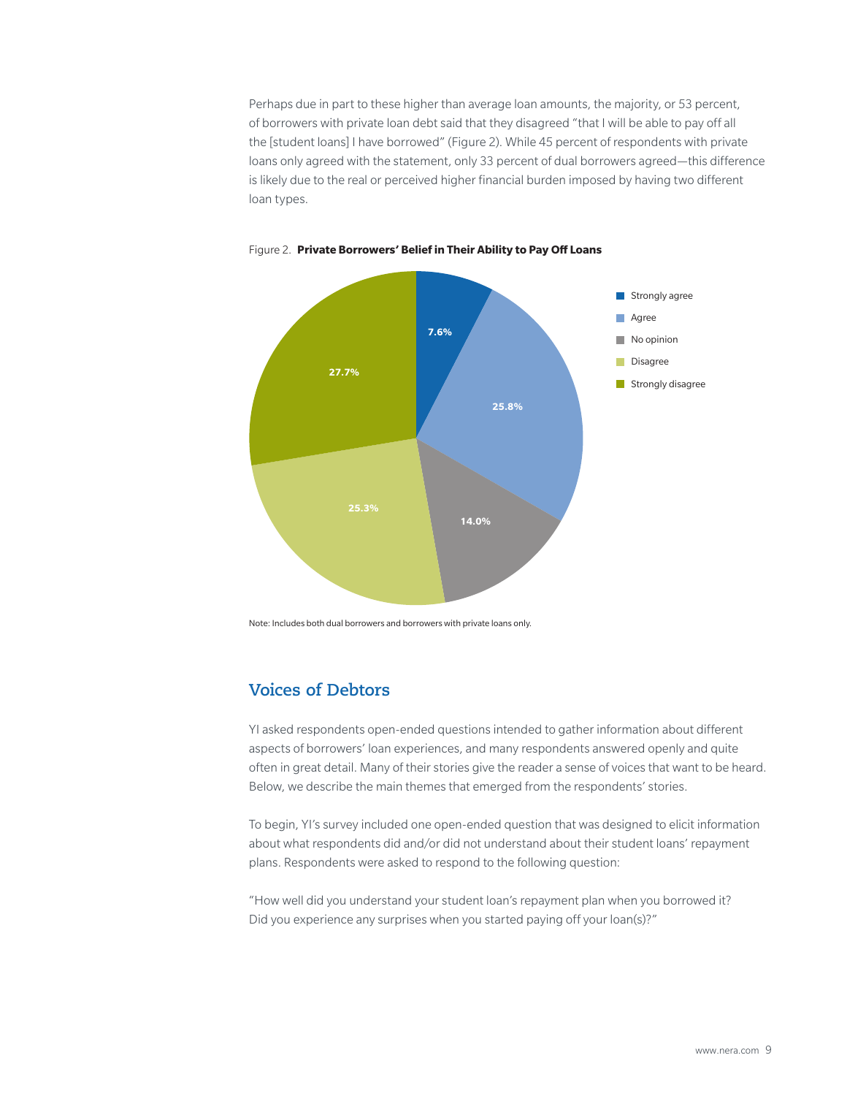Perhaps due in part to these higher than average loan amounts, the majority, or 53 percent, of borrowers with private loan debt said that they disagreed "that I will be able to pay off all the [student loans] I have borrowed" (Figure 2). While 45 percent of respondents with private loans only agreed with the statement, only 33 percent of dual borrowers agreed—this difference is likely due to the real or perceived higher financial burden imposed by having two different loan types.



#### Figure 2. **Private Borrowers' Belief in Their Ability to Pay Off Loans**

Note: Includes both dual borrowers and borrowers with private loans only.

# **Voices of Debtors**

YI asked respondents open-ended questions intended to gather information about different aspects of borrowers' loan experiences, and many respondents answered openly and quite often in great detail. Many of their stories give the reader a sense of voices that want to be heard. Below, we describe the main themes that emerged from the respondents' stories.

To begin, YI's survey included one open-ended question that was designed to elicit information about what respondents did and/or did not understand about their student loans' repayment plans. Respondents were asked to respond to the following question:

"How well did you understand your student loan's repayment plan when you borrowed it? Did you experience any surprises when you started paying off your loan(s)?"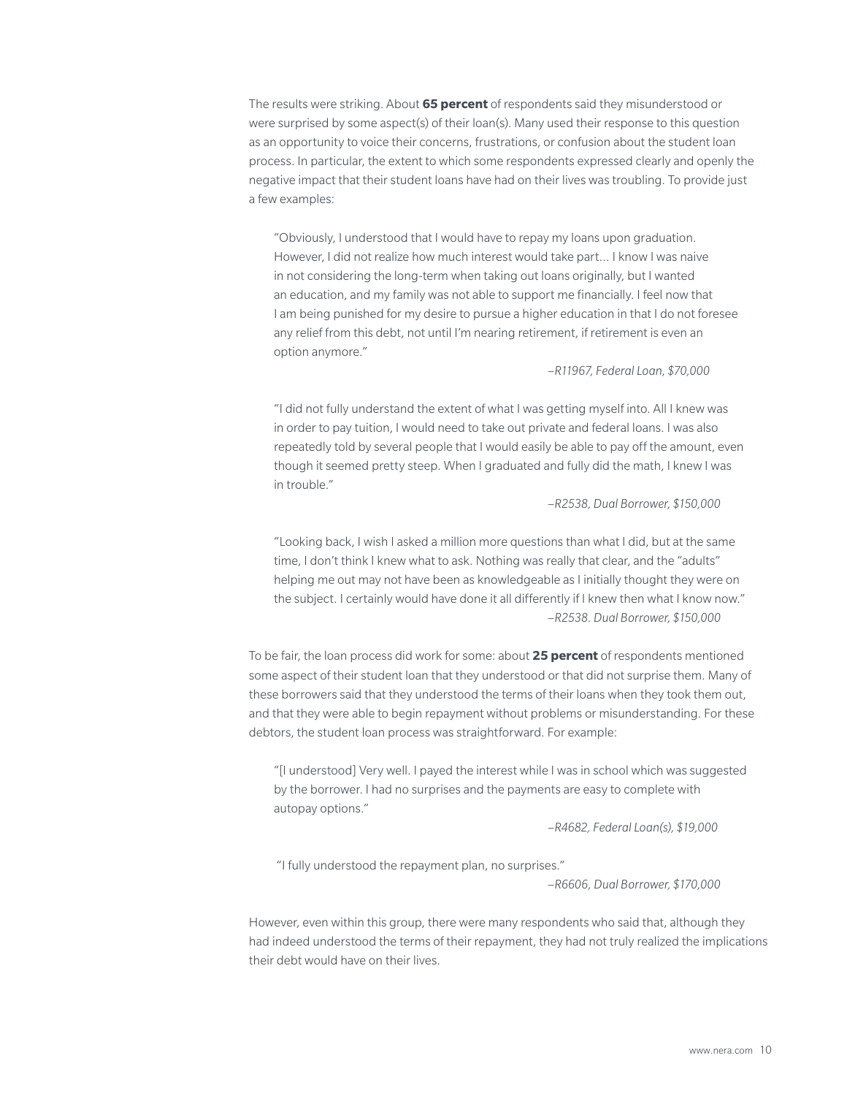The results were striking. About **65 percent** of respondents said they misunderstood or were surprised by some aspect(s) of their loan(s). Many used their response to this question as an opportunity to voice their concerns, frustrations, or confusion about the student loan process. In particular, the extent to which some respondents expressed clearly and openly the negative impact that their student loans have had on their lives was troubling. To provide just a few examples:

"Obviously, I understood that I would have to repay my loans upon graduation. However, I did not realize how much interest would take part… I know I was naive in not considering the long-term when taking out loans originally, but I wanted an education, and my family was not able to support me financially. I feel now that I am being punished for my desire to pursue a higher education in that I do not foresee any relief from this debt, not until I'm nearing retirement, if retirement is even an option anymore."

–*R11967, Federal Loan, \$70,000*

"I did not fully understand the extent of what I was getting myself into. All I knew was in order to pay tuition, I would need to take out private and federal loans. I was also repeatedly told by several people that I would easily be able to pay off the amount, even though it seemed pretty steep. When I graduated and fully did the math, I knew I was in trouble."

–*R2538, Dual Borrower, \$150,000*

"Looking back, I wish I asked a million more questions than what I did, but at the same time, I don't think I knew what to ask. Nothing was really that clear, and the "adults" helping me out may not have been as knowledgeable as I initially thought they were on the subject. I certainly would have done it all differently if I knew then what I know now." –*R2538. Dual Borrower, \$150,000* 

To be fair, the loan process did work for some: about **25 percent** of respondents mentioned some aspect of their student loan that they understood or that did not surprise them. Many of these borrowers said that they understood the terms of their loans when they took them out, and that they were able to begin repayment without problems or misunderstanding. For these debtors, the student loan process was straightforward. For example:

"[I understood] Very well. I payed the interest while I was in school which was suggested by the borrower. I had no surprises and the payments are easy to complete with autopay options."

–*R4682, Federal Loan(s), \$19,000*

"I fully understood the repayment plan, no surprises."

–*R6606, Dual Borrower, \$170,000*

However, even within this group, there were many respondents who said that, although they had indeed understood the terms of their repayment, they had not truly realized the implications their debt would have on their lives.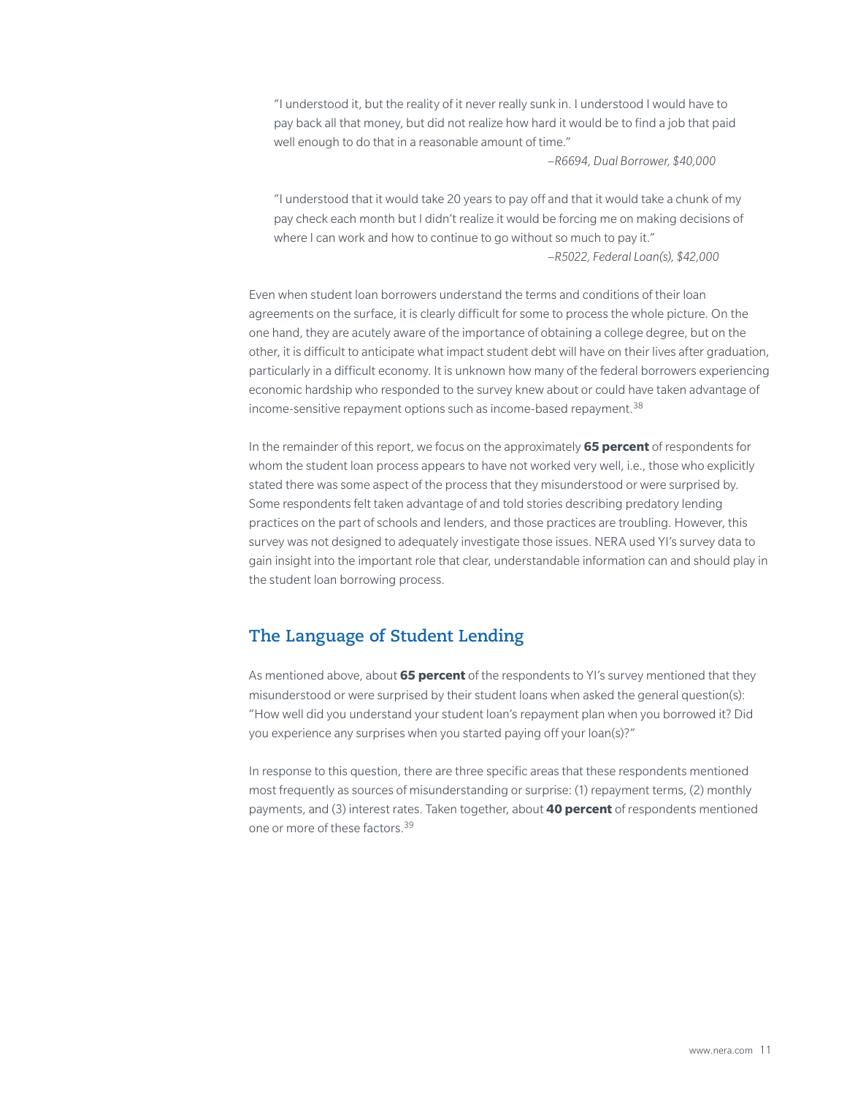"I understood it, but the reality of it never really sunk in. I understood I would have to pay back all that money, but did not realize how hard it would be to find a job that paid well enough to do that in a reasonable amount of time."

–*R6694, Dual Borrower, \$40,000*

"I understood that it would take 20 years to pay off and that it would take a chunk of my pay check each month but I didn't realize it would be forcing me on making decisions of where I can work and how to continue to go without so much to pay it." –*R5022, Federal Loan(s), \$42,000* 

Even when student loan borrowers understand the terms and conditions of their loan agreements on the surface, it is clearly difficult for some to process the whole picture. On the one hand, they are acutely aware of the importance of obtaining a college degree, but on the other, it is difficult to anticipate what impact student debt will have on their lives after graduation, particularly in a difficult economy. It is unknown how many of the federal borrowers experiencing economic hardship who responded to the survey knew about or could have taken advantage of income-sensitive repayment options such as income-based repayment.<sup>38</sup>

In the remainder of this report, we focus on the approximately **65 percent** of respondents for whom the student loan process appears to have not worked very well, i.e., those who explicitly stated there was some aspect of the process that they misunderstood or were surprised by. Some respondents felt taken advantage of and told stories describing predatory lending practices on the part of schools and lenders, and those practices are troubling. However, this survey was not designed to adequately investigate those issues. NERA used YI's survey data to gain insight into the important role that clear, understandable information can and should play in the student loan borrowing process.

# **The Language of Student Lending**

As mentioned above, about **65 percent** of the respondents to YI's survey mentioned that they misunderstood or were surprised by their student loans when asked the general question(s): "How well did you understand your student loan's repayment plan when you borrowed it? Did you experience any surprises when you started paying off your loan(s)?"

In response to this question, there are three specific areas that these respondents mentioned most frequently as sources of misunderstanding or surprise: (1) repayment terms, (2) monthly payments, and (3) interest rates. Taken together, about **40 percent** of respondents mentioned one or more of these factors.39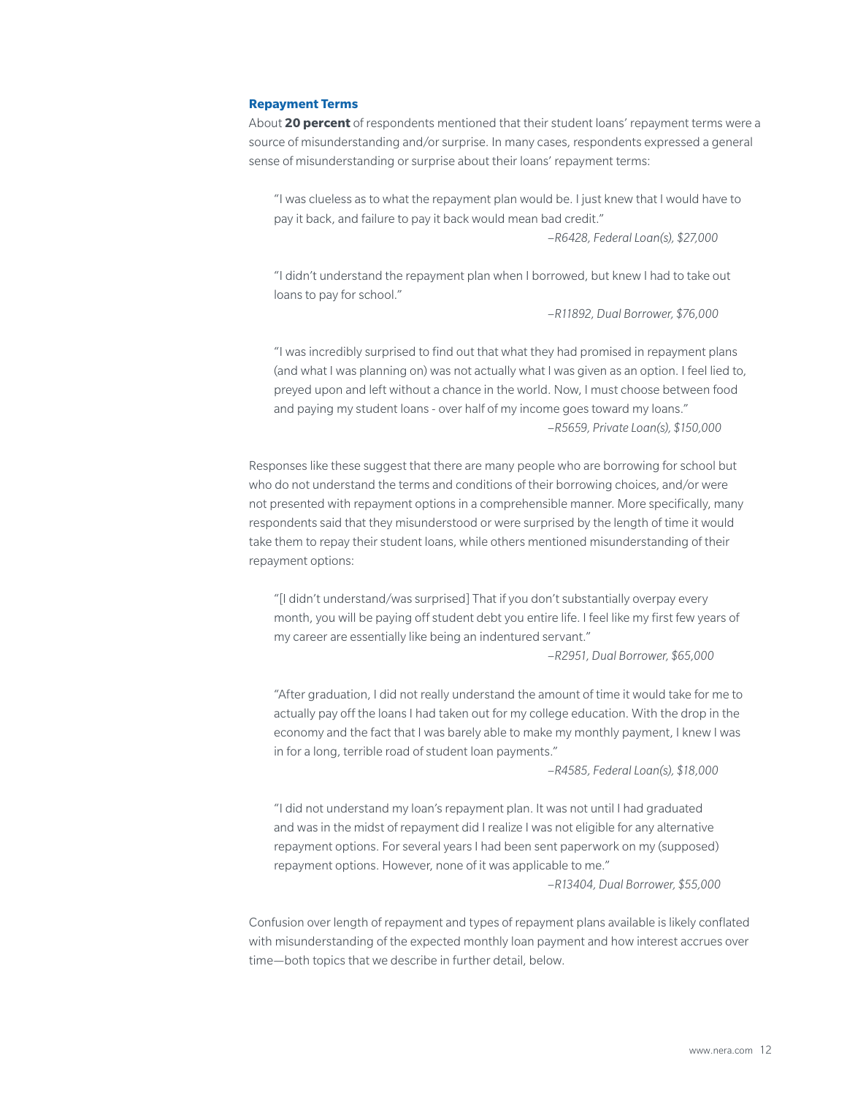#### **Repayment Terms**

About **20 percent** of respondents mentioned that their student loans' repayment terms were a source of misunderstanding and/or surprise. In many cases, respondents expressed a general sense of misunderstanding or surprise about their loans' repayment terms:

"I was clueless as to what the repayment plan would be. I just knew that I would have to pay it back, and failure to pay it back would mean bad credit."

–*R6428, Federal Loan(s), \$27,000*

"I didn't understand the repayment plan when I borrowed, but knew I had to take out loans to pay for school."

–*R11892, Dual Borrower, \$76,000*

"I was incredibly surprised to find out that what they had promised in repayment plans (and what I was planning on) was not actually what I was given as an option. I feel lied to, preyed upon and left without a chance in the world. Now, I must choose between food and paying my student loans - over half of my income goes toward my loans." –*R5659, Private Loan(s), \$150,000*

Responses like these suggest that there are many people who are borrowing for school but who do not understand the terms and conditions of their borrowing choices, and/or were not presented with repayment options in a comprehensible manner. More specifically, many respondents said that they misunderstood or were surprised by the length of time it would take them to repay their student loans, while others mentioned misunderstanding of their repayment options:

"[I didn't understand/was surprised] That if you don't substantially overpay every month, you will be paying off student debt you entire life. I feel like my first few years of my career are essentially like being an indentured servant."

–*R2951, Dual Borrower, \$65,000*

"After graduation, I did not really understand the amount of time it would take for me to actually pay off the loans I had taken out for my college education. With the drop in the economy and the fact that I was barely able to make my monthly payment, I knew I was in for a long, terrible road of student loan payments."

–*R4585, Federal Loan(s), \$18,000*

"I did not understand my loan's repayment plan. It was not until I had graduated and was in the midst of repayment did I realize I was not eligible for any alternative repayment options. For several years I had been sent paperwork on my (supposed) repayment options. However, none of it was applicable to me."

–*R13404, Dual Borrower, \$55,000*

Confusion over length of repayment and types of repayment plans available is likely conflated with misunderstanding of the expected monthly loan payment and how interest accrues over time—both topics that we describe in further detail, below.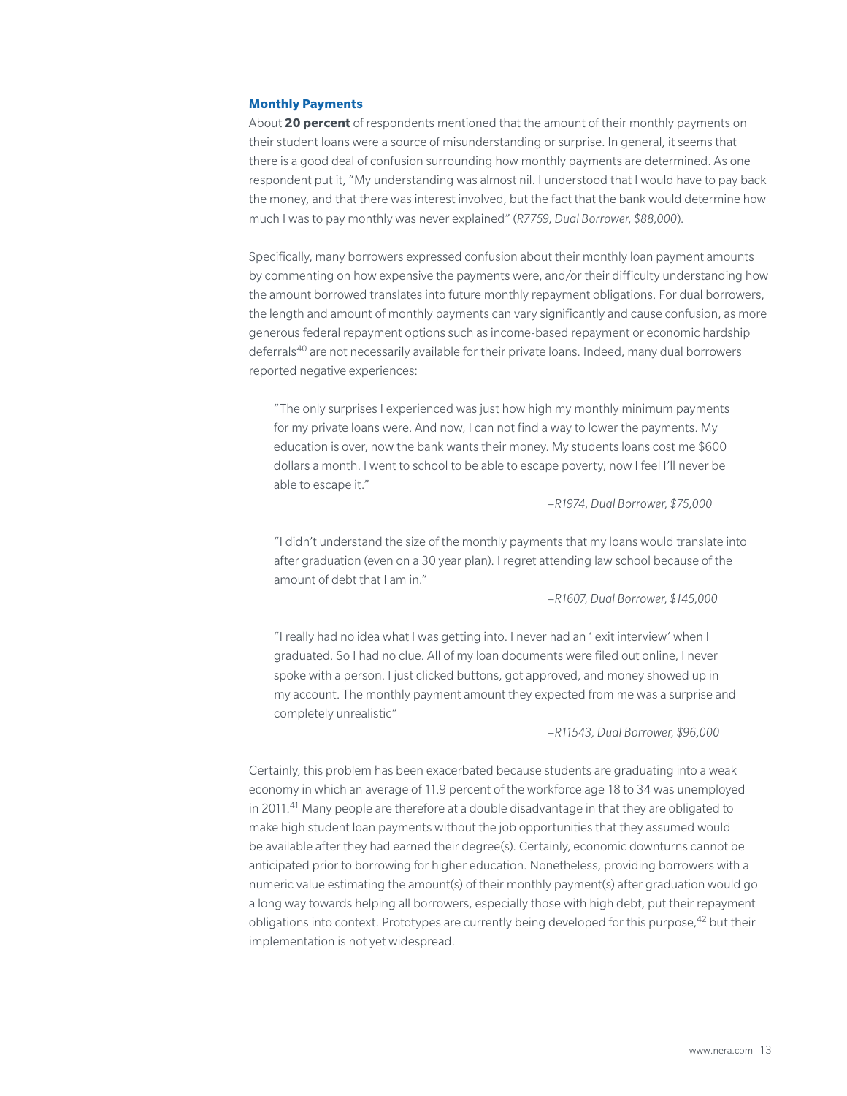#### **Monthly Payments**

About **20 percent** of respondents mentioned that the amount of their monthly payments on their student loans were a source of misunderstanding or surprise. In general, it seems that there is a good deal of confusion surrounding how monthly payments are determined. As one respondent put it, "My understanding was almost nil. I understood that I would have to pay back the money, and that there was interest involved, but the fact that the bank would determine how much I was to pay monthly was never explained" (*R7759, Dual Borrower, \$88,000*).

Specifically, many borrowers expressed confusion about their monthly loan payment amounts by commenting on how expensive the payments were, and/or their difficulty understanding how the amount borrowed translates into future monthly repayment obligations. For dual borrowers, the length and amount of monthly payments can vary significantly and cause confusion, as more generous federal repayment options such as income-based repayment or economic hardship deferrals40 are not necessarily available for their private loans. Indeed, many dual borrowers reported negative experiences:

"The only surprises I experienced was just how high my monthly minimum payments for my private loans were. And now, I can not find a way to lower the payments. My education is over, now the bank wants their money. My students loans cost me \$600 dollars a month. I went to school to be able to escape poverty, now I feel I'll never be able to escape it."

–*R1974, Dual Borrower, \$75,000*

"I didn't understand the size of the monthly payments that my loans would translate into after graduation (even on a 30 year plan). I regret attending law school because of the amount of debt that I am in."

–*R1607, Dual Borrower, \$145,000*

"I really had no idea what I was getting into. I never had an ' exit interview' when I graduated. So I had no clue. All of my loan documents were filed out online, I never spoke with a person. I just clicked buttons, got approved, and money showed up in my account. The monthly payment amount they expected from me was a surprise and completely unrealistic"

–*R11543, Dual Borrower, \$96,000*

Certainly, this problem has been exacerbated because students are graduating into a weak economy in which an average of 11.9 percent of the workforce age 18 to 34 was unemployed in 2011.<sup>41</sup> Many people are therefore at a double disadvantage in that they are obligated to make high student loan payments without the job opportunities that they assumed would be available after they had earned their degree(s). Certainly, economic downturns cannot be anticipated prior to borrowing for higher education. Nonetheless, providing borrowers with a numeric value estimating the amount(s) of their monthly payment(s) after graduation would go a long way towards helping all borrowers, especially those with high debt, put their repayment obligations into context. Prototypes are currently being developed for this purpose,42 but their implementation is not yet widespread.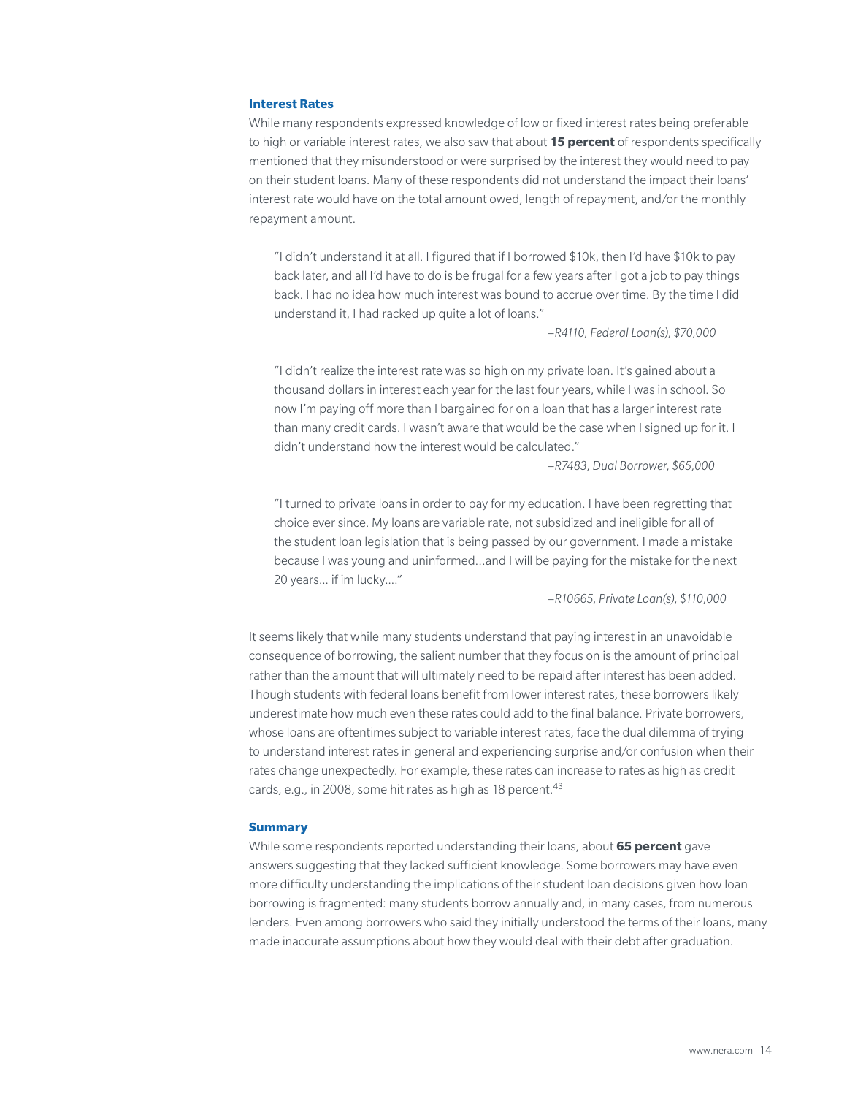#### **Interest Rates**

While many respondents expressed knowledge of low or fixed interest rates being preferable to high or variable interest rates, we also saw that about **15 percent** of respondents specifically mentioned that they misunderstood or were surprised by the interest they would need to pay on their student loans. Many of these respondents did not understand the impact their loans' interest rate would have on the total amount owed, length of repayment, and/or the monthly repayment amount.

"I didn't understand it at all. I figured that if I borrowed \$10k, then I'd have \$10k to pay back later, and all I'd have to do is be frugal for a few years after I got a job to pay things back. I had no idea how much interest was bound to accrue over time. By the time I did understand it, I had racked up quite a lot of loans."

–*R4110, Federal Loan(s), \$70,000* 

"I didn't realize the interest rate was so high on my private loan. It's gained about a thousand dollars in interest each year for the last four years, while I was in school. So now I'm paying off more than I bargained for on a loan that has a larger interest rate than many credit cards. I wasn't aware that would be the case when I signed up for it. I didn't understand how the interest would be calculated."

–*R7483, Dual Borrower, \$65,000*

"I turned to private loans in order to pay for my education. I have been regretting that choice ever since. My loans are variable rate, not subsidized and ineligible for all of the student loan legislation that is being passed by our government. I made a mistake because I was young and uninformed…and I will be paying for the mistake for the next 20 years... if im lucky...."

–*R10665, Private Loan(s), \$110,000*

It seems likely that while many students understand that paying interest in an unavoidable consequence of borrowing, the salient number that they focus on is the amount of principal rather than the amount that will ultimately need to be repaid after interest has been added. Though students with federal loans benefit from lower interest rates, these borrowers likely underestimate how much even these rates could add to the final balance. Private borrowers, whose loans are oftentimes subject to variable interest rates, face the dual dilemma of trying to understand interest rates in general and experiencing surprise and/or confusion when their rates change unexpectedly. For example, these rates can increase to rates as high as credit cards, e.g., in 2008, some hit rates as high as 18 percent.<sup>43</sup>

#### **Summary**

While some respondents reported understanding their loans, about **65 percent** gave answers suggesting that they lacked sufficient knowledge. Some borrowers may have even more difficulty understanding the implications of their student loan decisions given how loan borrowing is fragmented: many students borrow annually and, in many cases, from numerous lenders. Even among borrowers who said they initially understood the terms of their loans, many made inaccurate assumptions about how they would deal with their debt after graduation.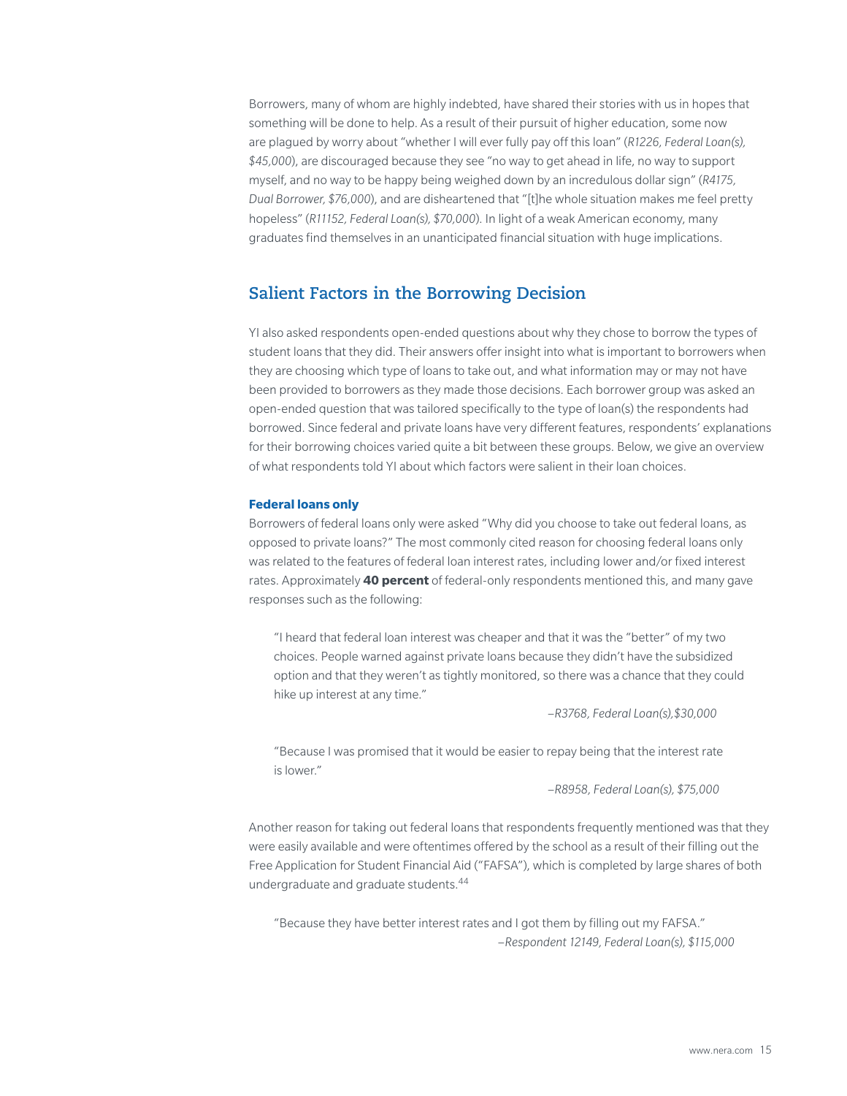Borrowers, many of whom are highly indebted, have shared their stories with us in hopes that something will be done to help. As a result of their pursuit of higher education, some now are plagued by worry about "whether I will ever fully pay off this loan" (*R1226, Federal Loan(s), \$45,000*), are discouraged because they see "no way to get ahead in life, no way to support myself, and no way to be happy being weighed down by an incredulous dollar sign" (*R4175, Dual Borrower, \$76,000*), and are disheartened that "[t]he whole situation makes me feel pretty hopeless" (*R11152, Federal Loan(s), \$70,000*). In light of a weak American economy, many graduates find themselves in an unanticipated financial situation with huge implications.

## **Salient Factors in the Borrowing Decision**

YI also asked respondents open-ended questions about why they chose to borrow the types of student loans that they did. Their answers offer insight into what is important to borrowers when they are choosing which type of loans to take out, and what information may or may not have been provided to borrowers as they made those decisions. Each borrower group was asked an open-ended question that was tailored specifically to the type of loan(s) the respondents had borrowed. Since federal and private loans have very different features, respondents' explanations for their borrowing choices varied quite a bit between these groups. Below, we give an overview of what respondents told YI about which factors were salient in their loan choices.

#### **Federal loans only**

Borrowers of federal loans only were asked "Why did you choose to take out federal loans, as opposed to private loans?" The most commonly cited reason for choosing federal loans only was related to the features of federal loan interest rates, including lower and/or fixed interest rates. Approximately **40 percent** of federal-only respondents mentioned this, and many gave responses such as the following:

"I heard that federal loan interest was cheaper and that it was the "better" of my two choices. People warned against private loans because they didn't have the subsidized option and that they weren't as tightly monitored, so there was a chance that they could hike up interest at any time."

–*R3768, Federal Loan(s),\$30,000*

"Because I was promised that it would be easier to repay being that the interest rate is lower."

–*R8958, Federal Loan(s), \$75,000*

Another reason for taking out federal loans that respondents frequently mentioned was that they were easily available and were oftentimes offered by the school as a result of their filling out the Free Application for Student Financial Aid ("FAFSA"), which is completed by large shares of both undergraduate and graduate students.44

"Because they have better interest rates and I got them by filling out my FAFSA." –*Respondent 12149, Federal Loan(s), \$115,000*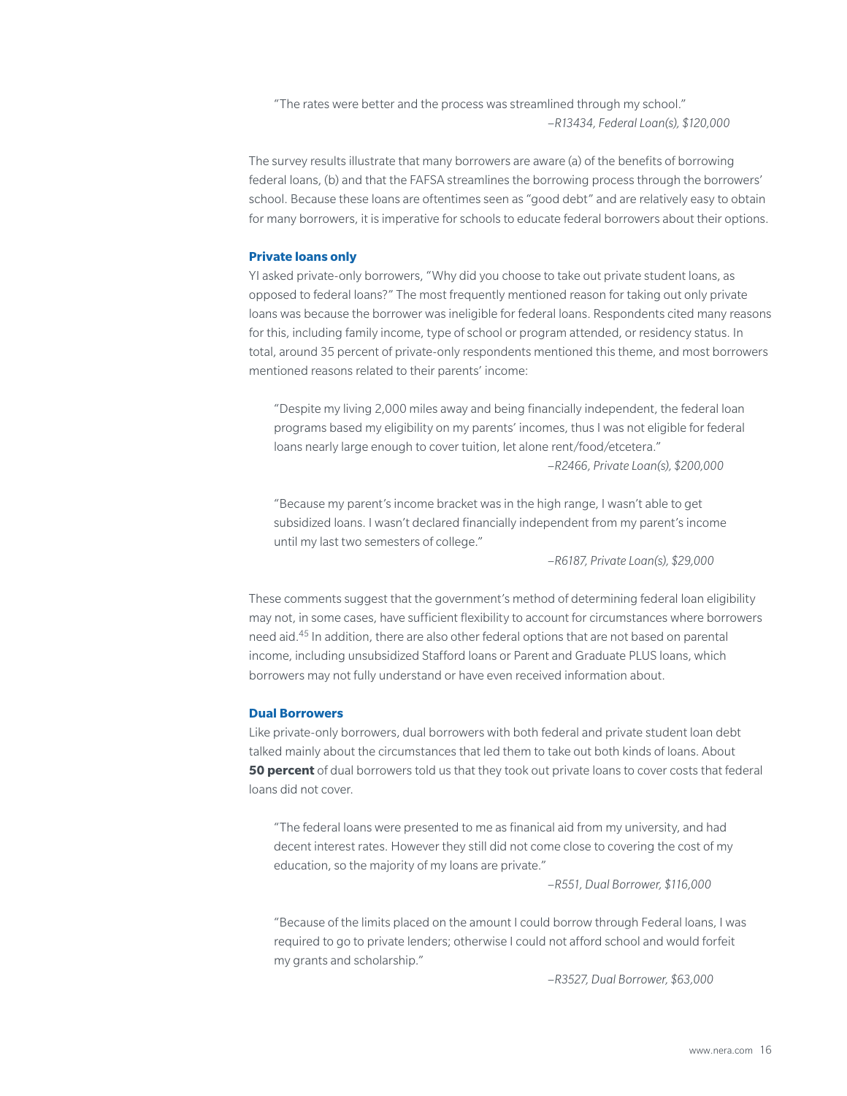"The rates were better and the process was streamlined through my school." –*R13434, Federal Loan(s), \$120,000*

The survey results illustrate that many borrowers are aware (a) of the benefits of borrowing federal loans, (b) and that the FAFSA streamlines the borrowing process through the borrowers' school. Because these loans are oftentimes seen as "good debt" and are relatively easy to obtain for many borrowers, it is imperative for schools to educate federal borrowers about their options.

#### **Private loans only**

YI asked private-only borrowers, "Why did you choose to take out private student loans, as opposed to federal loans?" The most frequently mentioned reason for taking out only private loans was because the borrower was ineligible for federal loans. Respondents cited many reasons for this, including family income, type of school or program attended, or residency status. In total, around 35 percent of private-only respondents mentioned this theme, and most borrowers mentioned reasons related to their parents' income:

"Despite my living 2,000 miles away and being financially independent, the federal loan programs based my eligibility on my parents' incomes, thus I was not eligible for federal loans nearly large enough to cover tuition, let alone rent/food/etcetera."

–*R2466, Private Loan(s), \$200,000*

"Because my parent's income bracket was in the high range, I wasn't able to get subsidized loans. I wasn't declared financially independent from my parent's income until my last two semesters of college."

–*R6187, Private Loan(s), \$29,000*

These comments suggest that the government's method of determining federal loan eligibility may not, in some cases, have sufficient flexibility to account for circumstances where borrowers need aid.45 In addition, there are also other federal options that are not based on parental income, including unsubsidized Stafford loans or Parent and Graduate PLUS loans, which borrowers may not fully understand or have even received information about.

#### **Dual Borrowers**

Like private-only borrowers, dual borrowers with both federal and private student loan debt talked mainly about the circumstances that led them to take out both kinds of loans. About **50 percent** of dual borrowers told us that they took out private loans to cover costs that federal loans did not cover.

"The federal loans were presented to me as finanical aid from my university, and had decent interest rates. However they still did not come close to covering the cost of my education, so the majority of my loans are private."

–*R551, Dual Borrower, \$116,000*

"Because of the limits placed on the amount I could borrow through Federal loans, I was required to go to private lenders; otherwise I could not afford school and would forfeit my grants and scholarship."

–*R3527, Dual Borrower, \$63,000*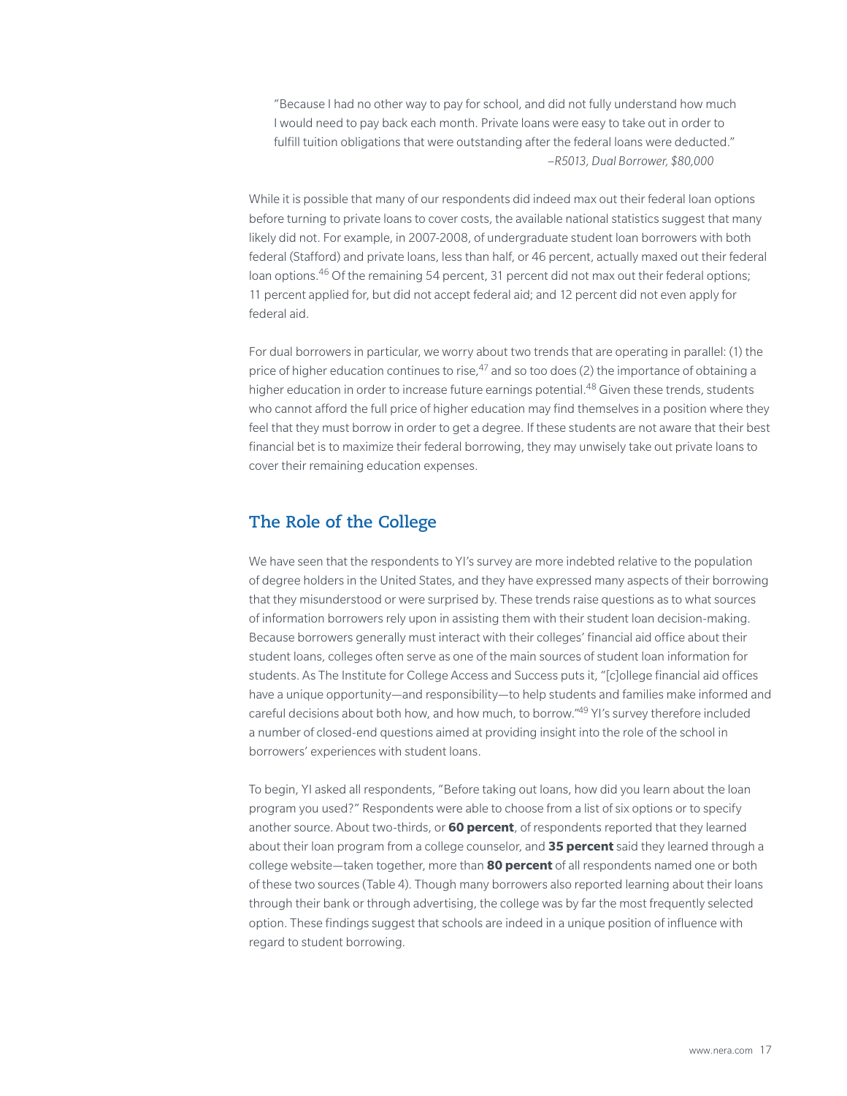"Because I had no other way to pay for school, and did not fully understand how much I would need to pay back each month. Private loans were easy to take out in order to fulfill tuition obligations that were outstanding after the federal loans were deducted." –*R5013, Dual Borrower, \$80,000*

While it is possible that many of our respondents did indeed max out their federal loan options before turning to private loans to cover costs, the available national statistics suggest that many likely did not. For example, in 2007-2008, of undergraduate student loan borrowers with both federal (Stafford) and private loans, less than half, or 46 percent, actually maxed out their federal loan options.<sup>46</sup> Of the remaining 54 percent, 31 percent did not max out their federal options; 11 percent applied for, but did not accept federal aid; and 12 percent did not even apply for federal aid.

For dual borrowers in particular, we worry about two trends that are operating in parallel: (1) the price of higher education continues to rise, $47$  and so too does (2) the importance of obtaining a higher education in order to increase future earnings potential.<sup>48</sup> Given these trends, students who cannot afford the full price of higher education may find themselves in a position where they feel that they must borrow in order to get a degree. If these students are not aware that their best financial bet is to maximize their federal borrowing, they may unwisely take out private loans to cover their remaining education expenses.

# **The Role of the College**

We have seen that the respondents to YI's survey are more indebted relative to the population of degree holders in the United States, and they have expressed many aspects of their borrowing that they misunderstood or were surprised by. These trends raise questions as to what sources of information borrowers rely upon in assisting them with their student loan decision-making. Because borrowers generally must interact with their colleges' financial aid office about their student loans, colleges often serve as one of the main sources of student loan information for students. As The Institute for College Access and Success puts it, "[c]ollege financial aid offices have a unique opportunity—and responsibility—to help students and families make informed and careful decisions about both how, and how much, to borrow."49 YI's survey therefore included a number of closed-end questions aimed at providing insight into the role of the school in borrowers' experiences with student loans.

To begin, YI asked all respondents, "Before taking out loans, how did you learn about the loan program you used?" Respondents were able to choose from a list of six options or to specify another source. About two-thirds, or **60 percent**, of respondents reported that they learned about their loan program from a college counselor, and **35 percent** said they learned through a college website—taken together, more than **80 percent** of all respondents named one or both of these two sources (Table 4). Though many borrowers also reported learning about their loans through their bank or through advertising, the college was by far the most frequently selected option. These findings suggest that schools are indeed in a unique position of influence with regard to student borrowing.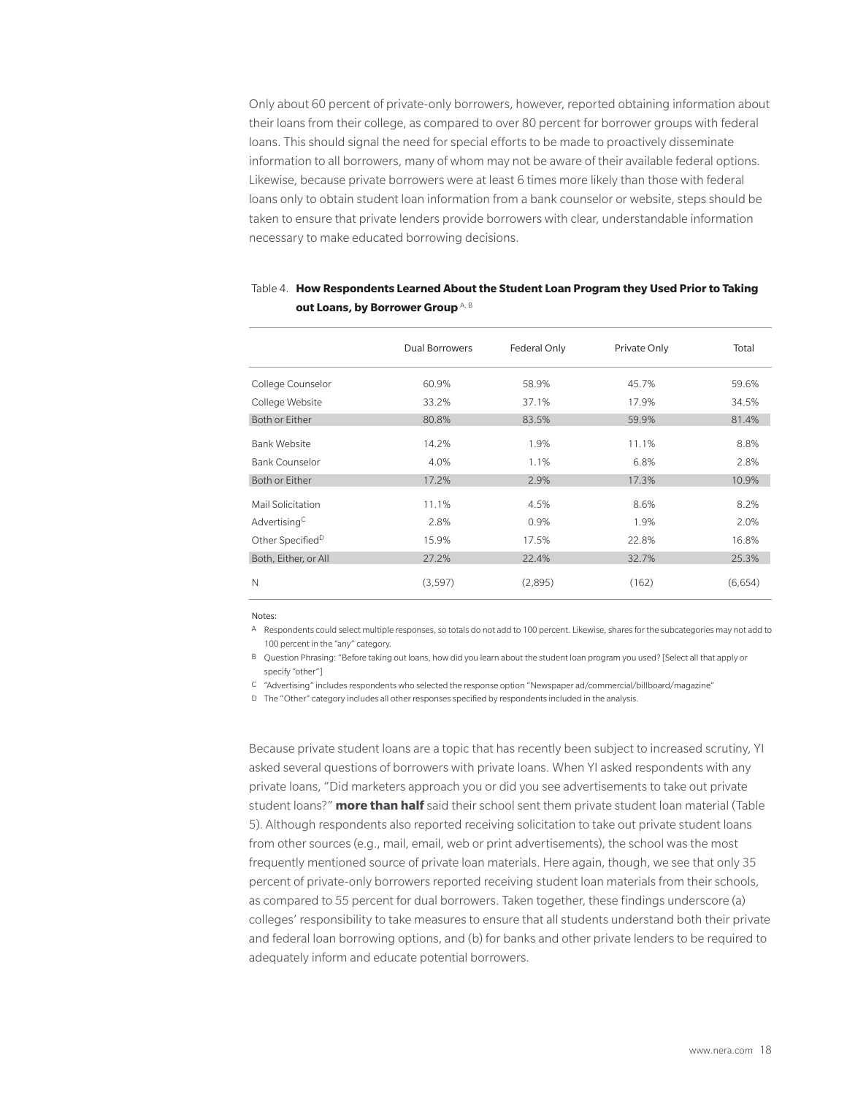Only about 60 percent of private-only borrowers, however, reported obtaining information about their loans from their college, as compared to over 80 percent for borrower groups with federal loans. This should signal the need for special efforts to be made to proactively disseminate information to all borrowers, many of whom may not be aware of their available federal options. Likewise, because private borrowers were at least 6 times more likely than those with federal loans only to obtain student loan information from a bank counselor or website, steps should be taken to ensure that private lenders provide borrowers with clear, understandable information necessary to make educated borrowing decisions.

|                              | <b>Dual Borrowers</b> | Federal Only | Private Only | Total   |
|------------------------------|-----------------------|--------------|--------------|---------|
| College Counselor            | 60.9%                 | 58.9%        | 45.7%        | 59.6%   |
| College Website              | 33.2%                 | 37.1%        | 17.9%        | 34.5%   |
| Both or Either               | 80.8%                 | 83.5%        | 59.9%        | 81.4%   |
| <b>Bank Website</b>          | 14.2%                 | 1.9%         | 11.1%        | 8.8%    |
| <b>Bank Counselor</b>        | 4.0%                  | 1.1%         | 6.8%         | 2.8%    |
| Both or Either               | 17.2%                 | 2.9%         | 17.3%        | 10.9%   |
| Mail Solicitation            | 11.1%                 | 4.5%         | 8.6%         | 8.2%    |
| Advertising <sup>C</sup>     | 2.8%                  | 0.9%         | 1.9%         | 2.0%    |
| Other Specified <sup>D</sup> | 15.9%                 | 17.5%        | 22.8%        | 16.8%   |
| Both, Either, or All         | 27.2%                 | 22.4%        | 32.7%        | 25.3%   |
| N                            | (3, 597)              | (2,895)      | (162)        | (6,654) |

#### Table 4. **How Respondents Learned About the Student Loan Program they Used Prior to Taking out Loans, by Borrower Group** A, B

Notes:

A Respondents could select multiple responses, so totals do not add to 100 percent. Likewise, shares for the subcategories may not add to 100 percent in the "any" category.

B Question Phrasing: "Before taking out loans, how did you learn about the student loan program you used? [Select all that apply or specify "other"]

C "Advertising" includes respondents who selected the response option "Newspaper ad/commercial/billboard/magazine"

D The "Other" category includes all other responses specified by respondents included in the analysis.

Because private student loans are a topic that has recently been subject to increased scrutiny, YI asked several questions of borrowers with private loans. When YI asked respondents with any private loans, "Did marketers approach you or did you see advertisements to take out private student loans?" **more than half** said their school sent them private student loan material (Table 5). Although respondents also reported receiving solicitation to take out private student loans from other sources (e.g., mail, email, web or print advertisements), the school was the most frequently mentioned source of private loan materials. Here again, though, we see that only 35 percent of private-only borrowers reported receiving student loan materials from their schools, as compared to 55 percent for dual borrowers. Taken together, these findings underscore (a) colleges' responsibility to take measures to ensure that all students understand both their private and federal loan borrowing options, and (b) for banks and other private lenders to be required to adequately inform and educate potential borrowers.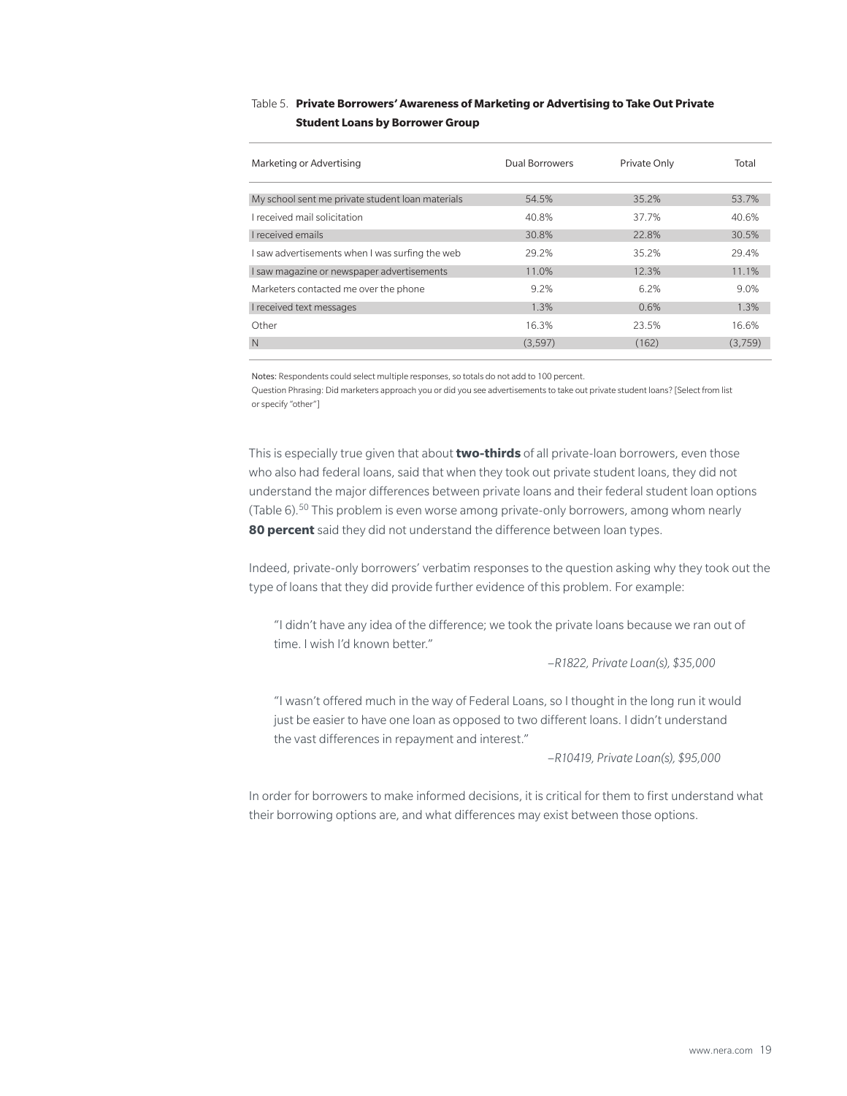#### Table 5. **Private Borrowers' Awareness of Marketing or Advertising to Take Out Private Student Loans by Borrower Group**

| Marketing or Advertising                         | Dual Borrowers | Private Only | Total   |
|--------------------------------------------------|----------------|--------------|---------|
| My school sent me private student loan materials | 54.5%          | 35.2%        | 53.7%   |
| I received mail solicitation                     | 40.8%          | 37.7%        | 40.6%   |
| <b>L</b> received emails                         | 30.8%          | 22.8%        | 30.5%   |
| I saw advertisements when I was surfing the web  | 29.2%          | 35.2%        | 29.4%   |
| I saw magazine or newspaper advertisements       | 11.0%          | 12.3%        | 11.1%   |
| Marketers contacted me over the phone            | 9.2%           | 6.2%         | 9.0%    |
| I received text messages                         | 1.3%           | 0.6%         | 1.3%    |
| Other                                            | 16.3%          | 23.5%        | 16.6%   |
| N                                                | (3, 597)       | (162)        | (3,759) |

Notes: Respondents could select multiple responses, so totals do not add to 100 percent.

Question Phrasing: Did marketers approach you or did you see advertisements to take out private student loans? [Select from list or specify "other"]

This is especially true given that about **two-thirds** of all private-loan borrowers, even those who also had federal loans, said that when they took out private student loans, they did not understand the major differences between private loans and their federal student loan options (Table 6).50 This problem is even worse among private-only borrowers, among whom nearly **80 percent** said they did not understand the difference between loan types.

Indeed, private-only borrowers' verbatim responses to the question asking why they took out the type of loans that they did provide further evidence of this problem. For example:

"I didn't have any idea of the difference; we took the private loans because we ran out of time. I wish I'd known better."

–*R1822, Private Loan(s), \$35,000*

"I wasn't offered much in the way of Federal Loans, so I thought in the long run it would just be easier to have one loan as opposed to two different loans. I didn't understand the vast differences in repayment and interest."

–*R10419, Private Loan(s), \$95,000*

In order for borrowers to make informed decisions, it is critical for them to first understand what their borrowing options are, and what differences may exist between those options.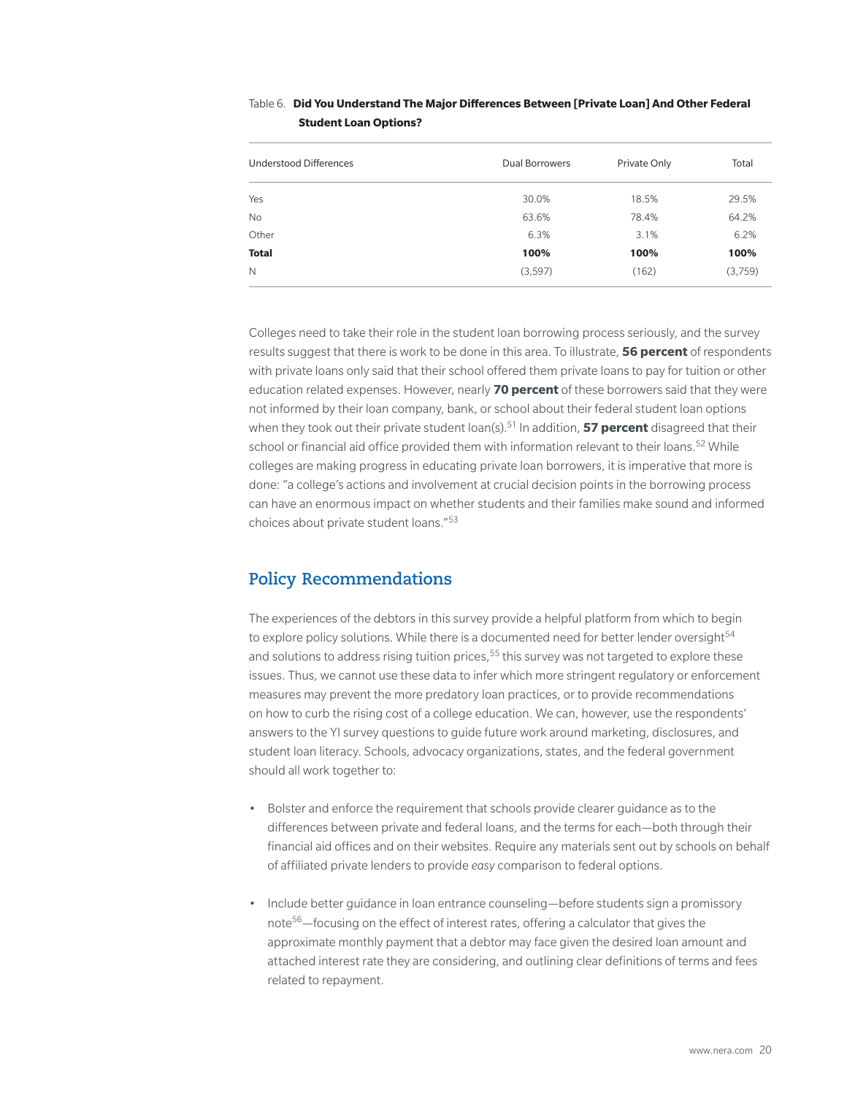| Understood Differences | <b>Dual Borrowers</b> | Private Only | Total   |
|------------------------|-----------------------|--------------|---------|
| Yes                    | 30.0%                 | 18.5%        | 29.5%   |
| No                     | 63.6%                 | 78.4%        | 64.2%   |
| Other                  | 6.3%                  | 3.1%         | 6.2%    |
| <b>Total</b>           | 100%                  | 100%         | 100%    |
| N                      | (3,597)               | (162)        | (3,759) |

#### Table 6. **Did You Understand The Major Differences Between [Private Loan] And Other Federal Student Loan Options?**

Colleges need to take their role in the student loan borrowing process seriously, and the survey results suggest that there is work to be done in this area. To illustrate, **56 percent** of respondents with private loans only said that their school offered them private loans to pay for tuition or other education related expenses. However, nearly **70 percent** of these borrowers said that they were not informed by their loan company, bank, or school about their federal student loan options when they took out their private student loan(s).<sup>51</sup> In addition, **57 percent** disagreed that their school or financial aid office provided them with information relevant to their loans.<sup>52</sup> While colleges are making progress in educating private loan borrowers, it is imperative that more is done: "a college's actions and involvement at crucial decision points in the borrowing process can have an enormous impact on whether students and their families make sound and informed choices about private student loans."53

# **Policy Recommendations**

The experiences of the debtors in this survey provide a helpful platform from which to begin to explore policy solutions. While there is a documented need for better lender oversight<sup>54</sup> and solutions to address rising tuition prices,  $55$  this survey was not targeted to explore these issues. Thus, we cannot use these data to infer which more stringent regulatory or enforcement measures may prevent the more predatory loan practices, or to provide recommendations on how to curb the rising cost of a college education. We can, however, use the respondents' answers to the YI survey questions to guide future work around marketing, disclosures, and student loan literacy. Schools, advocacy organizations, states, and the federal government should all work together to:

- Bolster and enforce the requirement that schools provide clearer guidance as to the differences between private and federal loans, and the terms for each—both through their financial aid offices and on their websites. Require any materials sent out by schools on behalf of affiliated private lenders to provide *easy* comparison to federal options.
- Include better guidance in loan entrance counseling—before students sign a promissory note<sup>56</sup>—focusing on the effect of interest rates, offering a calculator that gives the approximate monthly payment that a debtor may face given the desired loan amount and attached interest rate they are considering, and outlining clear definitions of terms and fees related to repayment.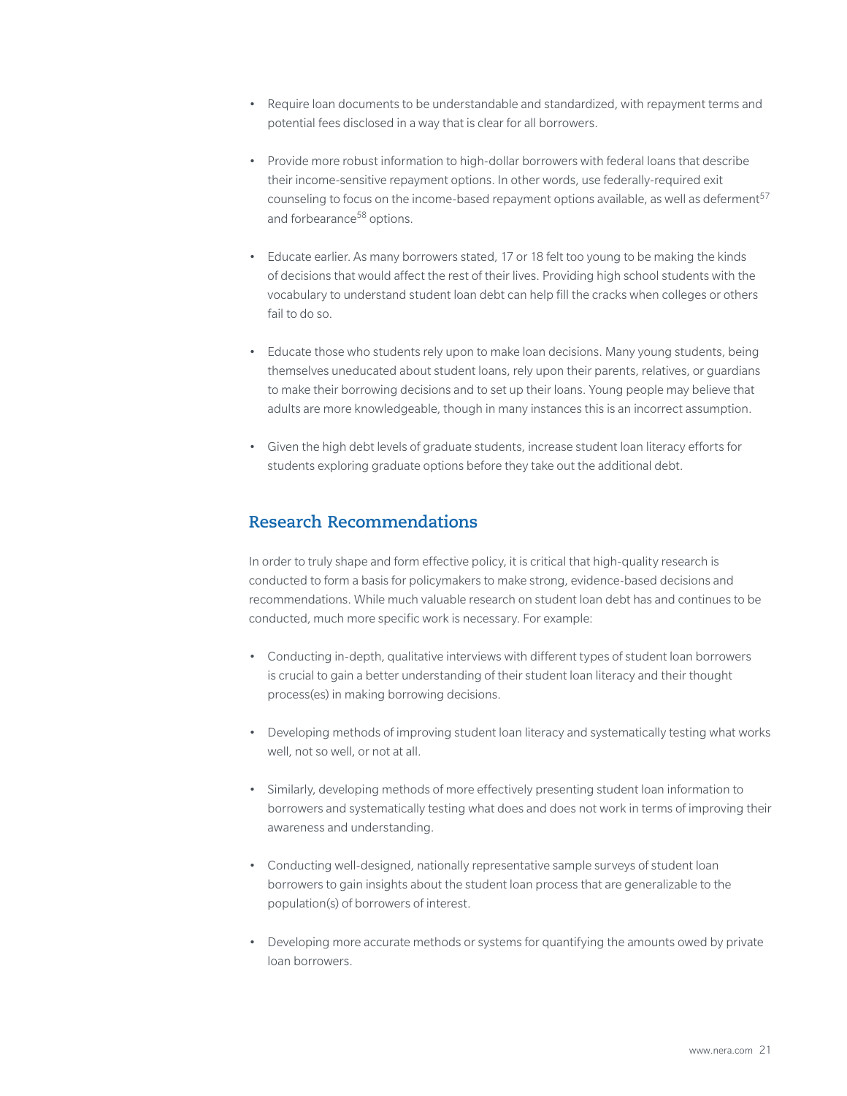- Require loan documents to be understandable and standardized, with repayment terms and potential fees disclosed in a way that is clear for all borrowers.
- Provide more robust information to high-dollar borrowers with federal loans that describe their income-sensitive repayment options. In other words, use federally-required exit counseling to focus on the income-based repayment options available, as well as deferment $57$ and forbearance<sup>58</sup> options.
- Educate earlier. As many borrowers stated, 17 or 18 felt too young to be making the kinds of decisions that would affect the rest of their lives. Providing high school students with the vocabulary to understand student loan debt can help fill the cracks when colleges or others fail to do so.
- Educate those who students rely upon to make loan decisions. Many young students, being themselves uneducated about student loans, rely upon their parents, relatives, or guardians to make their borrowing decisions and to set up their loans. Young people may believe that adults are more knowledgeable, though in many instances this is an incorrect assumption.
- Given the high debt levels of graduate students, increase student loan literacy efforts for students exploring graduate options before they take out the additional debt.

# **Research Recommendations**

In order to truly shape and form effective policy, it is critical that high-quality research is conducted to form a basis for policymakers to make strong, evidence-based decisions and recommendations. While much valuable research on student loan debt has and continues to be conducted, much more specific work is necessary. For example:

- Conducting in-depth, qualitative interviews with different types of student loan borrowers is crucial to gain a better understanding of their student loan literacy and their thought process(es) in making borrowing decisions.
- Developing methods of improving student loan literacy and systematically testing what works well, not so well, or not at all.
- Similarly, developing methods of more effectively presenting student loan information to borrowers and systematically testing what does and does not work in terms of improving their awareness and understanding.
- Conducting well-designed, nationally representative sample surveys of student loan borrowers to gain insights about the student loan process that are generalizable to the population(s) of borrowers of interest.
- Developing more accurate methods or systems for quantifying the amounts owed by private loan borrowers.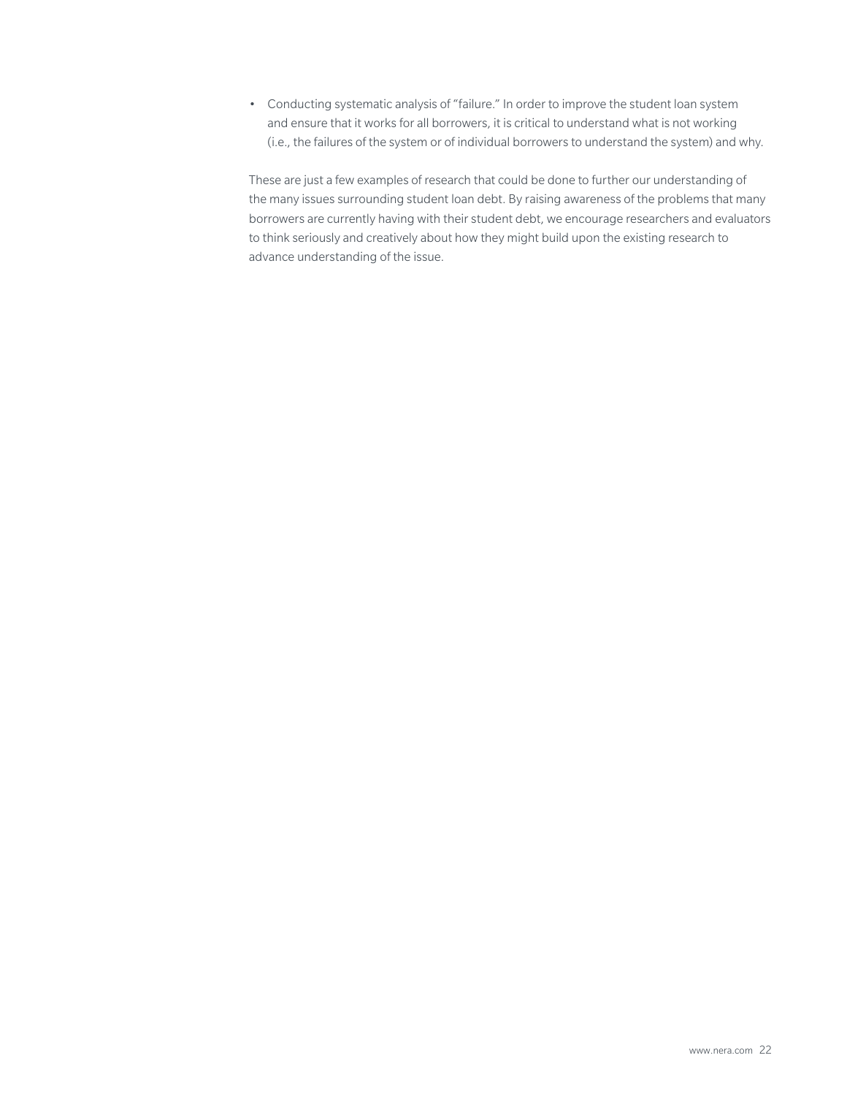• Conducting systematic analysis of "failure." In order to improve the student loan system and ensure that it works for all borrowers, it is critical to understand what is not working (i.e., the failures of the system or of individual borrowers to understand the system) and why.

These are just a few examples of research that could be done to further our understanding of the many issues surrounding student loan debt. By raising awareness of the problems that many borrowers are currently having with their student debt, we encourage researchers and evaluators to think seriously and creatively about how they might build upon the existing research to advance understanding of the issue.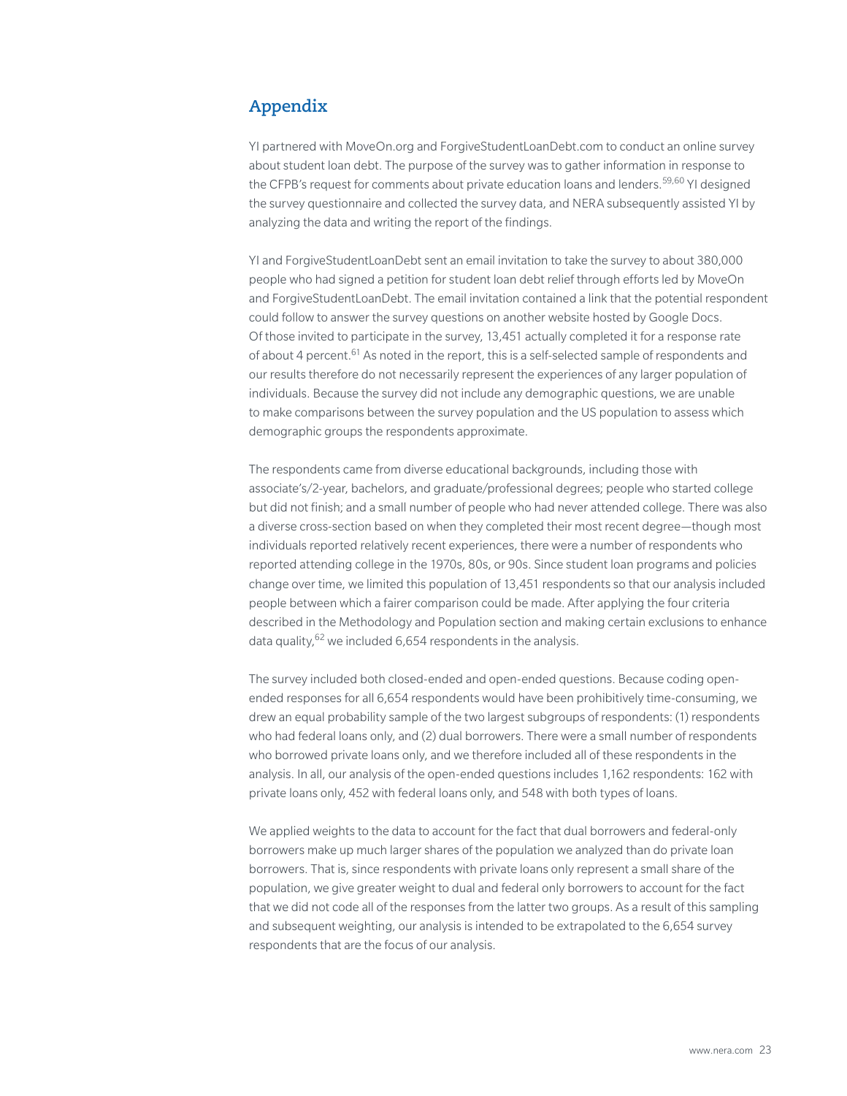# **Appendix**

YI partnered with MoveOn.org and ForgiveStudentLoanDebt.com to conduct an online survey about student loan debt. The purpose of the survey was to gather information in response to the CFPB's request for comments about private education loans and lenders.<sup>59,60</sup> YI designed the survey questionnaire and collected the survey data, and NERA subsequently assisted YI by analyzing the data and writing the report of the findings.

YI and ForgiveStudentLoanDebt sent an email invitation to take the survey to about 380,000 people who had signed a petition for student loan debt relief through efforts led by MoveOn and ForgiveStudentLoanDebt. The email invitation contained a link that the potential respondent could follow to answer the survey questions on another website hosted by Google Docs. Of those invited to participate in the survey, 13,451 actually completed it for a response rate of about 4 percent.<sup>61</sup> As noted in the report, this is a self-selected sample of respondents and our results therefore do not necessarily represent the experiences of any larger population of individuals. Because the survey did not include any demographic questions, we are unable to make comparisons between the survey population and the US population to assess which demographic groups the respondents approximate.

The respondents came from diverse educational backgrounds, including those with associate's/2-year, bachelors, and graduate/professional degrees; people who started college but did not finish; and a small number of people who had never attended college. There was also a diverse cross-section based on when they completed their most recent degree—though most individuals reported relatively recent experiences, there were a number of respondents who reported attending college in the 1970s, 80s, or 90s. Since student loan programs and policies change over time, we limited this population of 13,451 respondents so that our analysis included people between which a fairer comparison could be made. After applying the four criteria described in the Methodology and Population section and making certain exclusions to enhance data quality,<sup>62</sup> we included 6,654 respondents in the analysis.

The survey included both closed-ended and open-ended questions. Because coding openended responses for all 6,654 respondents would have been prohibitively time-consuming, we drew an equal probability sample of the two largest subgroups of respondents: (1) respondents who had federal loans only, and (2) dual borrowers. There were a small number of respondents who borrowed private loans only, and we therefore included all of these respondents in the analysis. In all, our analysis of the open-ended questions includes 1,162 respondents: 162 with private loans only, 452 with federal loans only, and 548 with both types of loans.

We applied weights to the data to account for the fact that dual borrowers and federal-only borrowers make up much larger shares of the population we analyzed than do private loan borrowers. That is, since respondents with private loans only represent a small share of the population, we give greater weight to dual and federal only borrowers to account for the fact that we did not code all of the responses from the latter two groups. As a result of this sampling and subsequent weighting, our analysis is intended to be extrapolated to the 6,654 survey respondents that are the focus of our analysis.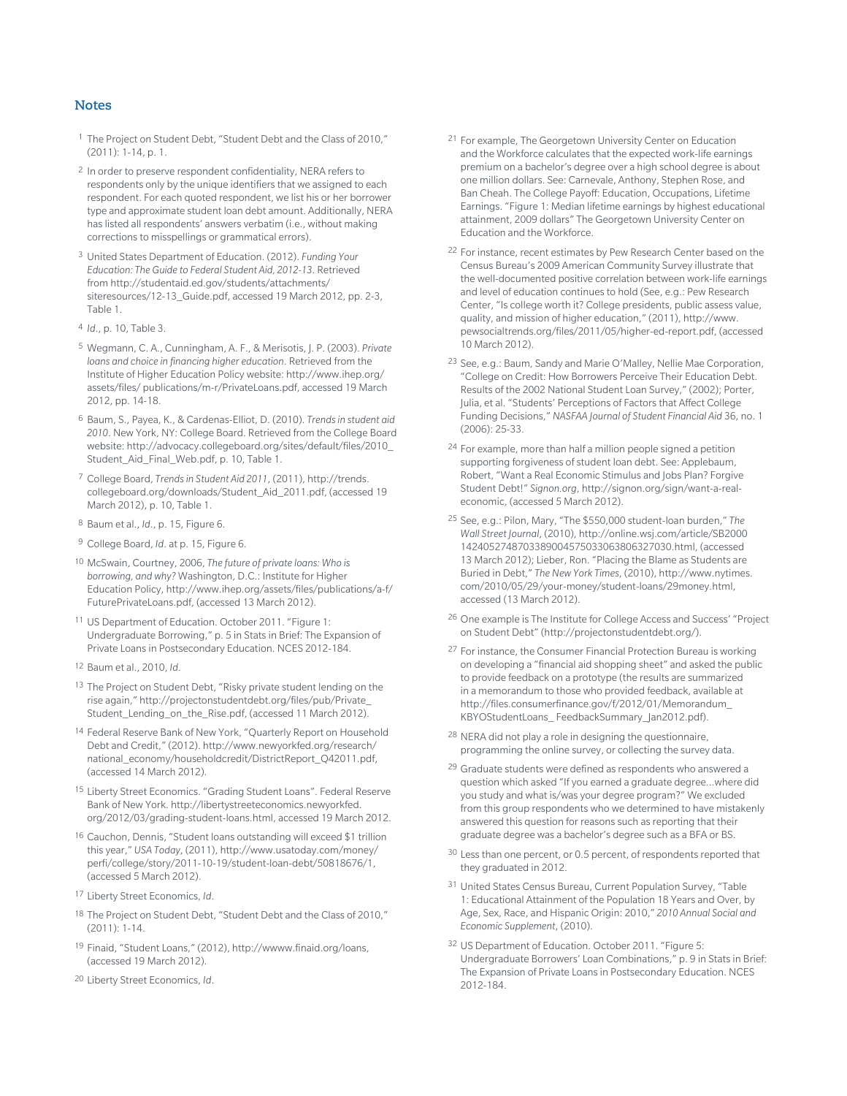#### **Notes**

- 1 The Project on Student Debt, "Student Debt and the Class of 2010," (2011): 1-14, p. 1.
- 2 In order to preserve respondent confidentiality, NERA refers to respondents only by the unique identifiers that we assigned to each respondent. For each quoted respondent, we list his or her borrower type and approximate student loan debt amount. Additionally, NERA has listed all respondents' answers verbatim (i.e., without making corrections to misspellings or grammatical errors).
- 3 United States Department of Education. (2012). *Funding Your Education: The Guide to Federal Student Aid, 2012-13*. Retrieved from http://studentaid.ed.gov/students/attachments/ siteresources/12-13\_Guide.pdf, accessed 19 March 2012, pp. 2-3, Table 1.
- 4 *Id*., p. 10, Table 3.
- 5 Wegmann, C. A., Cunningham, A. F., & Merisotis, J. P. (2003). *Private loans and choice in financing higher education*. Retrieved from the Institute of Higher Education Policy website: http://www.ihep.org/ assets/files/ publications/m-r/PrivateLoans.pdf, accessed 19 March 2012, pp. 14-18.
- 6 Baum, S., Payea, K., & Cardenas-Elliot, D. (2010). *Trends in student aid 2010*. New York, NY: College Board. Retrieved from the College Board website: http://advocacy.collegeboard.org/sites/default/files/2010\_ Student\_Aid\_Final\_Web.pdf, p. 10, Table 1.
- 7 College Board, *Trends in Student Aid 2011*, (2011), http://trends. collegeboard.org/downloads/Student\_Aid\_2011.pdf, (accessed 19 March 2012), p. 10, Table 1.
- 8 Baum et al., *Id*., p. 15, Figure 6.
- 9 College Board, *Id*. at p. 15, Figure 6.
- 10 McSwain, Courtney, 2006, *The future of private loans: Who is borrowing, and why?* Washington, D.C.: Institute for Higher Education Policy, http://www.ihep.org/assets/files/publications/a-f/ FuturePrivateLoans.pdf, (accessed 13 March 2012).
- 11 US Department of Education. October 2011. "Figure 1: Undergraduate Borrowing," p. 5 in Stats in Brief: The Expansion of Private Loans in Postsecondary Education. NCES 2012-184.
- 12 Baum et al., 2010, *Id*.
- 13 The Project on Student Debt, "Risky private student lending on the rise again," http://projectonstudentdebt.org/files/pub/Private\_ Student Lending on the Rise.pdf, (accessed 11 March 2012).
- 14 Federal Reserve Bank of New York, "Quarterly Report on Household Debt and Credit," (2012). http://www.newyorkfed.org/research/ national\_economy/householdcredit/DistrictReport\_Q42011.pdf, (accessed 14 March 2012).
- 15 Liberty Street Economics. "Grading Student Loans". Federal Reserve Bank of New York. http://libertystreeteconomics.newyorkfed. org/2012/03/grading-student-loans.html, accessed 19 March 2012.
- 16 Cauchon, Dennis, "Student loans outstanding will exceed \$1 trillion this year," *USA Today*, (2011), http://www.usatoday.com/money/ perfi/college/story/2011-10-19/student-loan-debt/50818676/1, (accessed 5 March 2012).
- 17 Liberty Street Economics, *Id*.
- 18 The Project on Student Debt, "Student Debt and the Class of 2010," (2011): 1-14.
- 19 Finaid, "Student Loans," (2012), http://wwww.finaid.org/loans, (accessed 19 March 2012).
- 20 Liberty Street Economics, *Id*.
- 21 For example, The Georgetown University Center on Education and the Workforce calculates that the expected work-life earnings premium on a bachelor's degree over a high school degree is about one million dollars. See: Carnevale, Anthony, Stephen Rose, and Ban Cheah. The College Payoff: Education, Occupations, Lifetime Earnings. "Figure 1: Median lifetime earnings by highest educational attainment, 2009 dollars" The Georgetown University Center on Education and the Workforce.
- 22 For instance, recent estimates by Pew Research Center based on the Census Bureau's 2009 American Community Survey illustrate that the well-documented positive correlation between work-life earnings and level of education continues to hold (See, e.g.: Pew Research Center, "Is college worth it? College presidents, public assess value, quality, and mission of higher education," (2011), http://www. pewsocialtrends.org/files/2011/05/higher-ed-report.pdf, (accessed 10 March 2012).
- 23 See, e.g.: Baum, Sandy and Marie O'Malley, Nellie Mae Corporation, "College on Credit: How Borrowers Perceive Their Education Debt. Results of the 2002 National Student Loan Survey," (2002); Porter, Julia, et al. "Students' Perceptions of Factors that Affect College Funding Decisions," *NASFAA Journal of Student Financial Aid* 36, no. 1 (2006): 25-33.
- <sup>24</sup> For example, more than half a million people signed a petition supporting forgiveness of student loan debt. See: Applebaum, Robert, "Want a Real Economic Stimulus and Jobs Plan? Forgive Student Debt!" *Signon.org*, http://signon.org/sign/want-a-realeconomic, (accessed 5 March 2012).
- 25 See, e.g.: Pilon, Mary, "The \$550,000 student-loan burden," *The Wall Street Journal*, (2010), http://online.wsj.com/article/SB2000 1424052748703389004575033063806327030.html, (accessed 13 March 2012); Lieber, Ron. "Placing the Blame as Students are Buried in Debt," *The New York Times*, (2010), http://www.nytimes. com/2010/05/29/your-money/student-loans/29money.html, accessed (13 March 2012).
- 26 One example is The Institute for College Access and Success' "Project on Student Debt" (http://projectonstudentdebt.org/).
- 27 For instance, the Consumer Financial Protection Bureau is working on developing a "financial aid shopping sheet" and asked the public to provide feedback on a prototype (the results are summarized in a memorandum to those who provided feedback, available at http://files.consumerfinance.gov/f/2012/01/Memorandum\_ KBYOStudentLoans\_ FeedbackSummary\_Jan2012.pdf).
- 28 NERA did not play a role in designing the questionnaire, programming the online survey, or collecting the survey data.
- 29 Graduate students were defined as respondents who answered a question which asked "If you earned a graduate degree…where did you study and what is/was your degree program?" We excluded from this group respondents who we determined to have mistakenly answered this question for reasons such as reporting that their graduate degree was a bachelor's degree such as a BFA or BS.
- 30 Less than one percent, or 0.5 percent, of respondents reported that they graduated in 2012.
- 31 United States Census Bureau, Current Population Survey, "Table 1: Educational Attainment of the Population 18 Years and Over, by Age, Sex, Race, and Hispanic Origin: 2010," *2010 Annual Social and Economic Supplement*, (2010).
- 32 US Department of Education. October 2011. "Figure 5: Undergraduate Borrowers' Loan Combinations," p. 9 in Stats in Brief: The Expansion of Private Loans in Postsecondary Education. NCES 2012-184.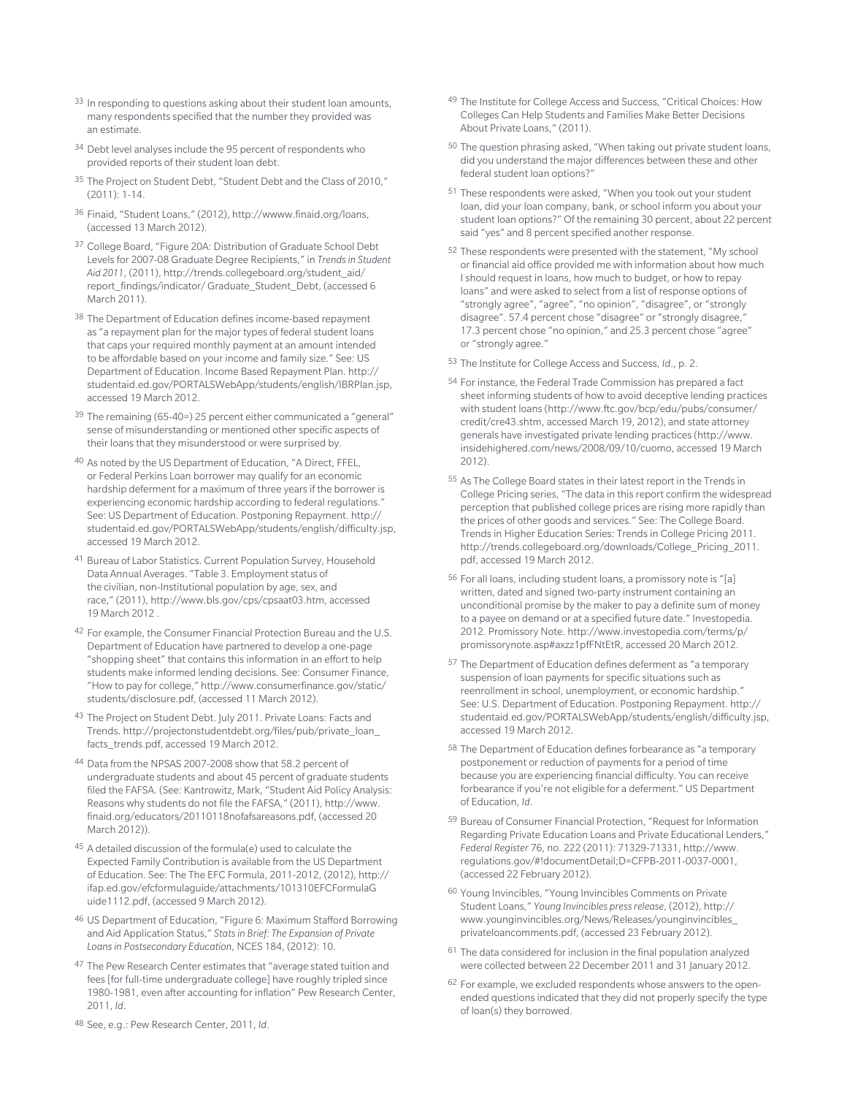- <sup>33</sup> In responding to questions asking about their student loan amounts, many respondents specified that the number they provided was an estimate.
- 34 Debt level analyses include the 95 percent of respondents who provided reports of their student loan debt.
- 35 The Project on Student Debt, "Student Debt and the Class of 2010," (2011): 1-14.
- 36 Finaid, "Student Loans," (2012), http://wwww.finaid.org/loans, (accessed 13 March 2012).
- 37 College Board, "Figure 20A: Distribution of Graduate School Debt Levels for 2007-08 Graduate Degree Recipients," in *Trends in Student Aid 2011*, (2011), http://trends.collegeboard.org/student\_aid/ report\_findings/indicator/ Graduate\_Student\_Debt, (accessed 6 March 2011).
- 38 The Department of Education defines income-based repayment as "a repayment plan for the major types of federal student loans that caps your required monthly payment at an amount intended to be affordable based on your income and family size." See: US Department of Education. Income Based Repayment Plan. http:// studentaid.ed.gov/PORTALSWebApp/students/english/IBRPlan.jsp, accessed 19 March 2012.
- 39 The remaining (65-40=) 25 percent either communicated a "general" sense of misunderstanding or mentioned other specific aspects of their loans that they misunderstood or were surprised by.
- 40 As noted by the US Department of Education, "A Direct, FFEL, or Federal Perkins Loan borrower may qualify for an economic hardship deferment for a maximum of three years if the borrower is experiencing economic hardship according to federal regulations." See: US Department of Education. Postponing Repayment. http:// studentaid.ed.gov/PORTALSWebApp/students/english/difficulty.jsp, accessed 19 March 2012.
- 41 Bureau of Labor Statistics. Current Population Survey, Household Data Annual Averages. "Table 3. Employment status of the civilian, non-Institutional population by age, sex, and race," (2011), http://www.bls.gov/cps/cpsaat03.htm, accessed 19 March 2012 .
- 42 For example, the Consumer Financial Protection Bureau and the U.S. Department of Education have partnered to develop a one-page "shopping sheet" that contains this information in an effort to help students make informed lending decisions. See: Consumer Finance, "How to pay for college," http://www.consumerfinance.gov/static/ students/disclosure.pdf, (accessed 11 March 2012).
- 43 The Project on Student Debt. July 2011. Private Loans: Facts and Trends. http://projectonstudentdebt.org/files/pub/private\_loan\_ facts\_trends.pdf, accessed 19 March 2012.
- 44 Data from the NPSAS 2007-2008 show that 58.2 percent of undergraduate students and about 45 percent of graduate students filed the FAFSA. (See: Kantrowitz, Mark, "Student Aid Policy Analysis: Reasons why students do not file the FAFSA," (2011), http://www. finaid.org/educators/20110118nofafsareasons.pdf, (accessed 20 March 2012)).
- 45 A detailed discussion of the formula(e) used to calculate the Expected Family Contribution is available from the US Department of Education. See: The The EFC Formula, 2011-2012, (2012), http:// ifap.ed.gov/efcformulaguide/attachments/101310EFCFormulaG uide1112.pdf, (accessed 9 March 2012).
- 46 US Department of Education, "Figure 6: Maximum Stafford Borrowing and Aid Application Status," *Stats in Brief: The Expansion of Private Loans in Postsecondary Education*, NCES 184, (2012): 10.
- 47 The Pew Research Center estimates that "average stated tuition and fees [for full-time undergraduate college] have roughly tripled since 1980-1981, even after accounting for inflation" Pew Research Center, 2011, *Id*.
- 48 See, e.g.: Pew Research Center, 2011, *Id*.
- 49 The Institute for College Access and Success, "Critical Choices: How Colleges Can Help Students and Families Make Better Decisions About Private Loans," (2011).
- 50 The question phrasing asked, "When taking out private student loans, did you understand the major differences between these and other federal student loan options?"
- 51 These respondents were asked, "When you took out your student loan, did your loan company, bank, or school inform you about your student loan options?" Of the remaining 30 percent, about 22 percent said "yes" and 8 percent specified another response.
- 52 These respondents were presented with the statement, "My school or financial aid office provided me with information about how much I should request in loans, how much to budget, or how to repay loans" and were asked to select from a list of response options of "strongly agree", "agree", "no opinion", "disagree", or "strongly disagree". 57.4 percent chose "disagree" or "strongly disagree," 17.3 percent chose "no opinion," and 25.3 percent chose "agree" or "strongly agree."
- 53 The Institute for College Access and Success, *Id*., p. 2.
- 54 For instance, the Federal Trade Commission has prepared a fact sheet informing students of how to avoid deceptive lending practices with student loans (http://www.ftc.gov/bcp/edu/pubs/consumer/ credit/cre43.shtm, accessed March 19, 2012), and state attorney generals have investigated private lending practices (http://www. insidehighered.com/news/2008/09/10/cuomo, accessed 19 March 2012).
- 55 As The College Board states in their latest report in the Trends in College Pricing series, "The data in this report confirm the widespread perception that published college prices are rising more rapidly than the prices of other goods and services." See: The College Board. Trends in Higher Education Series: Trends in College Pricing 2011. http://trends.collegeboard.org/downloads/College\_Pricing\_2011. pdf, accessed 19 March 2012.
- 56 For all loans, including student loans, a promissory note is "[a] written, dated and signed two-party instrument containing an unconditional promise by the maker to pay a definite sum of money to a payee on demand or at a specified future date." Investopedia. 2012. Promissory Note. http://www.investopedia.com/terms/p/ promissorynote.asp#axzz1pfFNtEtR, accessed 20 March 2012.
- 57 The Department of Education defines deferment as "a temporary suspension of loan payments for specific situations such as reenrollment in school, unemployment, or economic hardship." See: U.S. Department of Education. Postponing Repayment. http:// studentaid.ed.gov/PORTALSWebApp/students/english/difficulty.jsp, accessed 19 March 2012.
- 58 The Department of Education defines forbearance as "a temporary postponement or reduction of payments for a period of time because you are experiencing financial difficulty. You can receive forbearance if you're not eligible for a deferment." US Department of Education, *Id*.
- 59 Bureau of Consumer Financial Protection, "Request for Information Regarding Private Education Loans and Private Educational Lenders," *Federal Register* 76, no. 222 (2011): 71329-71331, http://www. regulations.gov/#!documentDetail;D=CFPB-2011-0037-0001, (accessed 22 February 2012).
- 60 Young Invincibles, "Young Invincibles Comments on Private Student Loans," *Young Invincibles press release*, (2012), http:// www.younginvincibles.org/News/Releases/younginvincibles\_ privateloancomments.pdf, (accessed 23 February 2012).
- 61 The data considered for inclusion in the final population analyzed were collected between 22 December 2011 and 31 January 2012.
- 62 For example, we excluded respondents whose answers to the openended questions indicated that they did not properly specify the type of loan(s) they borrowed.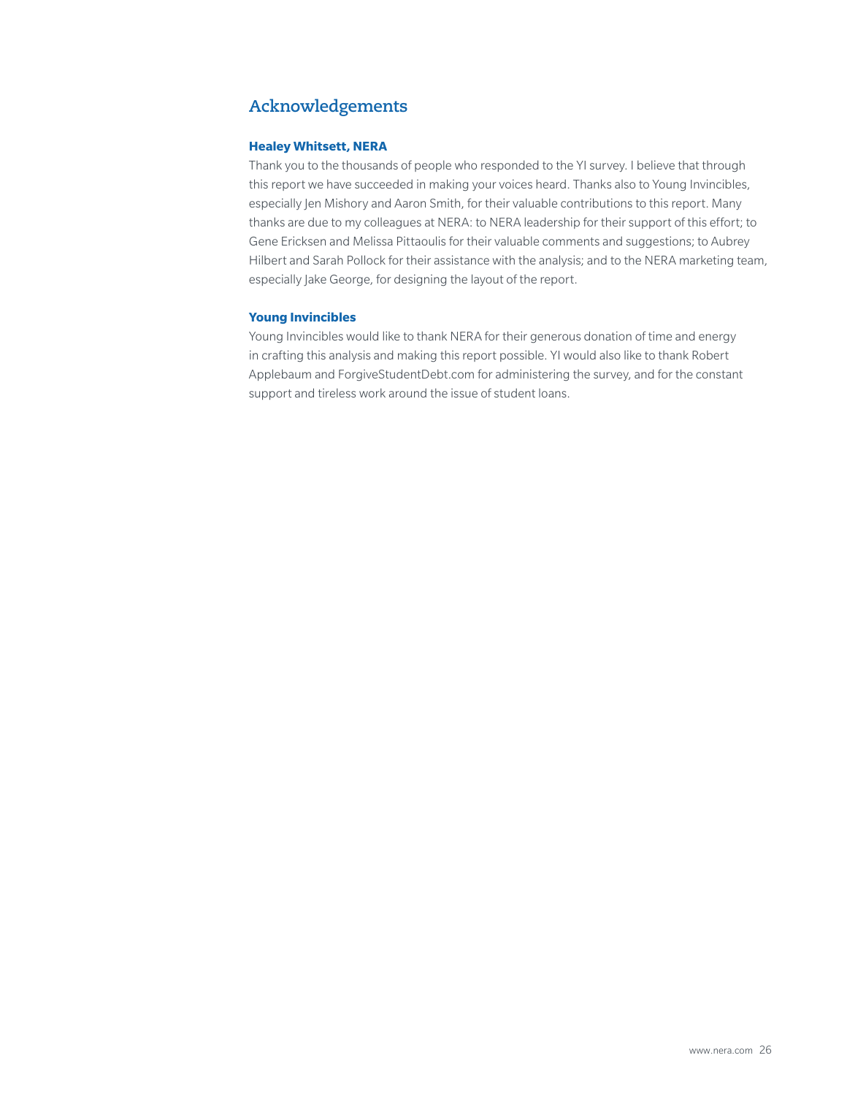# **Acknowledgements**

#### **Healey Whitsett, NERA**

Thank you to the thousands of people who responded to the YI survey. I believe that through this report we have succeeded in making your voices heard. Thanks also to Young Invincibles, especially Jen Mishory and Aaron Smith, for their valuable contributions to this report. Many thanks are due to my colleagues at NERA: to NERA leadership for their support of this effort; to Gene Ericksen and Melissa Pittaoulis for their valuable comments and suggestions; to Aubrey Hilbert and Sarah Pollock for their assistance with the analysis; and to the NERA marketing team, especially Jake George, for designing the layout of the report.

#### **Young Invincibles**

Young Invincibles would like to thank NERA for their generous donation of time and energy in crafting this analysis and making this report possible. YI would also like to thank Robert Applebaum and ForgiveStudentDebt.com for administering the survey, and for the constant support and tireless work around the issue of student loans.